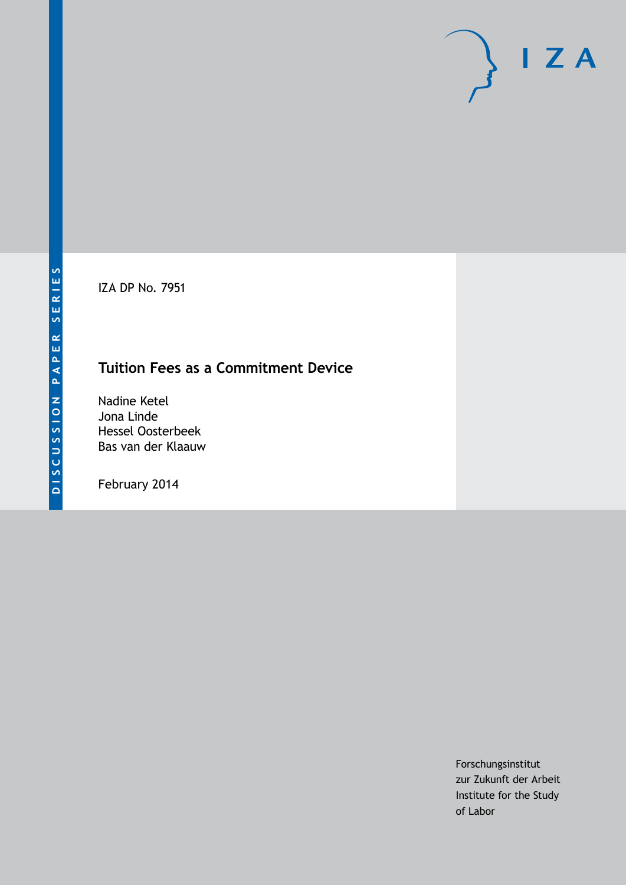IZA DP No. 7951

## **Tuition Fees as a Commitment Device**

Nadine Ketel Jona Linde Hessel Oosterbeek Bas van der Klaauw

February 2014

Forschungsinstitut zur Zukunft der Arbeit Institute for the Study of Labor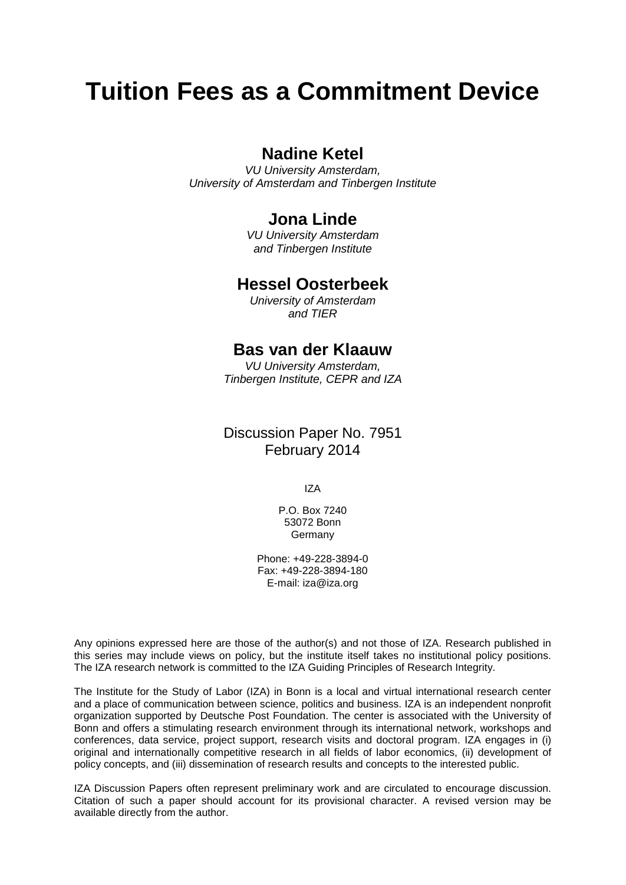# **Tuition Fees as a Commitment Device**

## **Nadine Ketel**

*VU University Amsterdam, University of Amsterdam and Tinbergen Institute*

## **Jona Linde**

*VU University Amsterdam and Tinbergen Institute*

### **Hessel Oosterbeek**

*University of Amsterdam and TIER*

### **Bas van der Klaauw**

*VU University Amsterdam, Tinbergen Institute, CEPR and IZA*

## Discussion Paper No. 7951 February 2014

IZA

P.O. Box 7240 53072 Bonn **Germany** 

Phone: +49-228-3894-0 Fax: +49-228-3894-180 E-mail: [iza@iza.org](mailto:iza@iza.org)

Any opinions expressed here are those of the author(s) and not those of IZA. Research published in this series may include views on policy, but the institute itself takes no institutional policy positions. The IZA research network is committed to the IZA Guiding Principles of Research Integrity.

The Institute for the Study of Labor (IZA) in Bonn is a local and virtual international research center and a place of communication between science, politics and business. IZA is an independent nonprofit organization supported by Deutsche Post Foundation. The center is associated with the University of Bonn and offers a stimulating research environment through its international network, workshops and conferences, data service, project support, research visits and doctoral program. IZA engages in (i) original and internationally competitive research in all fields of labor economics, (ii) development of policy concepts, and (iii) dissemination of research results and concepts to the interested public.

<span id="page-1-0"></span>IZA Discussion Papers often represent preliminary work and are circulated to encourage discussion. Citation of such a paper should account for its provisional character. A revised version may be available directly from the author.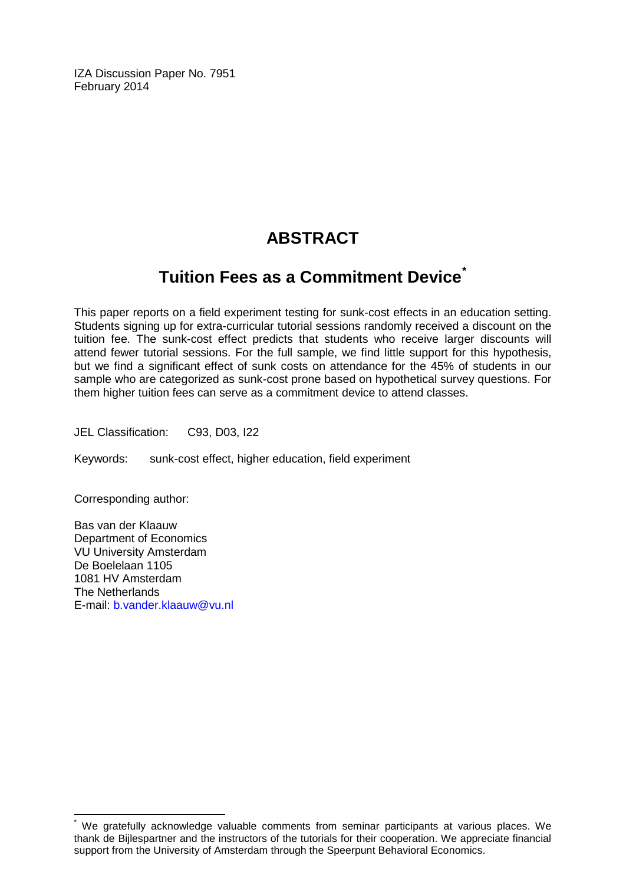IZA Discussion Paper No. 7951 February 2014

## **ABSTRACT**

## **Tuition Fees as a Commitment Device[\\*](#page-1-0)**

This paper reports on a field experiment testing for sunk-cost effects in an education setting. Students signing up for extra-curricular tutorial sessions randomly received a discount on the tuition fee. The sunk-cost effect predicts that students who receive larger discounts will attend fewer tutorial sessions. For the full sample, we find little support for this hypothesis, but we find a significant effect of sunk costs on attendance for the 45% of students in our sample who are categorized as sunk-cost prone based on hypothetical survey questions. For them higher tuition fees can serve as a commitment device to attend classes.

JEL Classification: C93, D03, I22

Keywords: sunk-cost effect, higher education, field experiment

Corresponding author:

Bas van der Klaauw Department of Economics VU University Amsterdam De Boelelaan 1105 1081 HV Amsterdam The Netherlands E-mail: [b.vander.klaauw@vu.nl](mailto:b.vander.klaauw@vu.nl)

We gratefully acknowledge valuable comments from seminar participants at various places. We thank de Bijlespartner and the instructors of the tutorials for their cooperation. We appreciate financial support from the University of Amsterdam through the Speerpunt Behavioral Economics.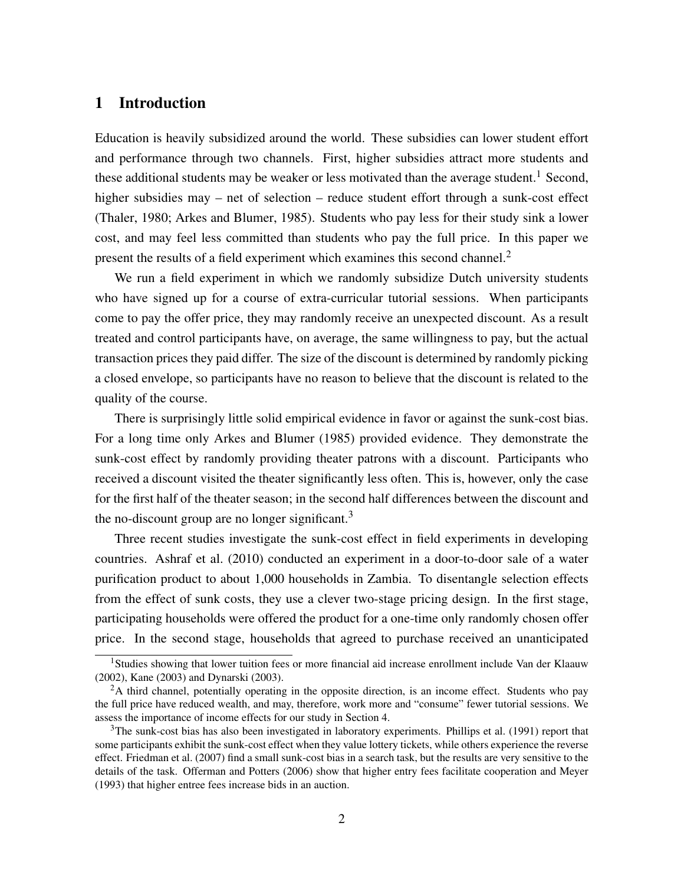#### 1 Introduction

Education is heavily subsidized around the world. These subsidies can lower student effort and performance through two channels. First, higher subsidies attract more students and these additional students may be weaker or less motivated than the average student.<sup>1</sup> Second, higher subsidies may – net of selection – reduce student effort through a sunk-cost effect (Thaler, 1980; Arkes and Blumer, 1985). Students who pay less for their study sink a lower cost, and may feel less committed than students who pay the full price. In this paper we present the results of a field experiment which examines this second channel.<sup>2</sup>

We run a field experiment in which we randomly subsidize Dutch university students who have signed up for a course of extra-curricular tutorial sessions. When participants come to pay the offer price, they may randomly receive an unexpected discount. As a result treated and control participants have, on average, the same willingness to pay, but the actual transaction prices they paid differ. The size of the discount is determined by randomly picking a closed envelope, so participants have no reason to believe that the discount is related to the quality of the course.

There is surprisingly little solid empirical evidence in favor or against the sunk-cost bias. For a long time only Arkes and Blumer (1985) provided evidence. They demonstrate the sunk-cost effect by randomly providing theater patrons with a discount. Participants who received a discount visited the theater significantly less often. This is, however, only the case for the first half of the theater season; in the second half differences between the discount and the no-discount group are no longer significant. $3$ 

Three recent studies investigate the sunk-cost effect in field experiments in developing countries. Ashraf et al. (2010) conducted an experiment in a door-to-door sale of a water purification product to about 1,000 households in Zambia. To disentangle selection effects from the effect of sunk costs, they use a clever two-stage pricing design. In the first stage, participating households were offered the product for a one-time only randomly chosen offer price. In the second stage, households that agreed to purchase received an unanticipated

<sup>1</sup>Studies showing that lower tuition fees or more financial aid increase enrollment include Van der Klaauw (2002), Kane (2003) and Dynarski (2003).

 ${}^{2}$ A third channel, potentially operating in the opposite direction, is an income effect. Students who pay the full price have reduced wealth, and may, therefore, work more and "consume" fewer tutorial sessions. We assess the importance of income effects for our study in Section 4.

<sup>&</sup>lt;sup>3</sup>The sunk-cost bias has also been investigated in laboratory experiments. Phillips et al. (1991) report that some participants exhibit the sunk-cost effect when they value lottery tickets, while others experience the reverse effect. Friedman et al. (2007) find a small sunk-cost bias in a search task, but the results are very sensitive to the details of the task. Offerman and Potters (2006) show that higher entry fees facilitate cooperation and Meyer (1993) that higher entree fees increase bids in an auction.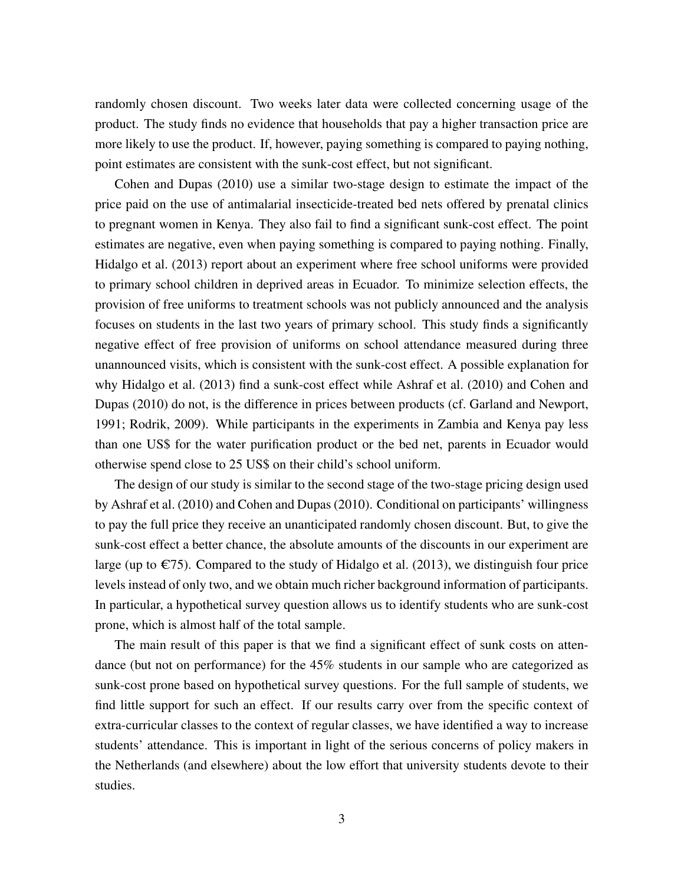randomly chosen discount. Two weeks later data were collected concerning usage of the product. The study finds no evidence that households that pay a higher transaction price are more likely to use the product. If, however, paying something is compared to paying nothing, point estimates are consistent with the sunk-cost effect, but not significant.

Cohen and Dupas (2010) use a similar two-stage design to estimate the impact of the price paid on the use of antimalarial insecticide-treated bed nets offered by prenatal clinics to pregnant women in Kenya. They also fail to find a significant sunk-cost effect. The point estimates are negative, even when paying something is compared to paying nothing. Finally, Hidalgo et al. (2013) report about an experiment where free school uniforms were provided to primary school children in deprived areas in Ecuador. To minimize selection effects, the provision of free uniforms to treatment schools was not publicly announced and the analysis focuses on students in the last two years of primary school. This study finds a significantly negative effect of free provision of uniforms on school attendance measured during three unannounced visits, which is consistent with the sunk-cost effect. A possible explanation for why Hidalgo et al. (2013) find a sunk-cost effect while Ashraf et al. (2010) and Cohen and Dupas (2010) do not, is the difference in prices between products (cf. Garland and Newport, 1991; Rodrik, 2009). While participants in the experiments in Zambia and Kenya pay less than one US\$ for the water purification product or the bed net, parents in Ecuador would otherwise spend close to 25 US\$ on their child's school uniform.

The design of our study is similar to the second stage of the two-stage pricing design used by Ashraf et al. (2010) and Cohen and Dupas (2010). Conditional on participants' willingness to pay the full price they receive an unanticipated randomly chosen discount. But, to give the sunk-cost effect a better chance, the absolute amounts of the discounts in our experiment are large (up to  $\epsilon$ 75). Compared to the study of Hidalgo et al. (2013), we distinguish four price levels instead of only two, and we obtain much richer background information of participants. In particular, a hypothetical survey question allows us to identify students who are sunk-cost prone, which is almost half of the total sample.

The main result of this paper is that we find a significant effect of sunk costs on attendance (but not on performance) for the 45% students in our sample who are categorized as sunk-cost prone based on hypothetical survey questions. For the full sample of students, we find little support for such an effect. If our results carry over from the specific context of extra-curricular classes to the context of regular classes, we have identified a way to increase students' attendance. This is important in light of the serious concerns of policy makers in the Netherlands (and elsewhere) about the low effort that university students devote to their studies.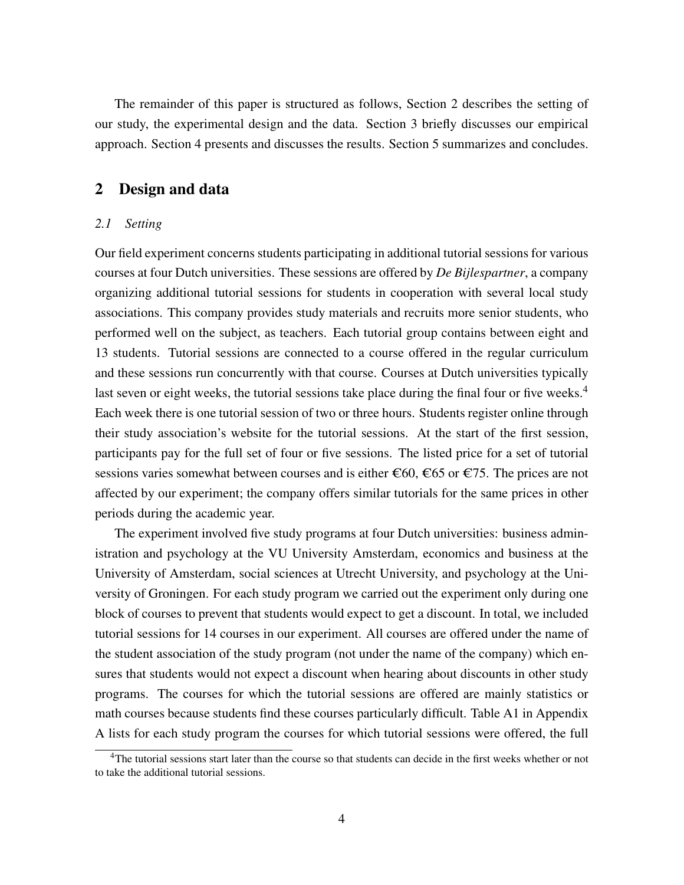The remainder of this paper is structured as follows, Section 2 describes the setting of our study, the experimental design and the data. Section 3 briefly discusses our empirical approach. Section 4 presents and discusses the results. Section 5 summarizes and concludes.

#### 2 Design and data

#### *2.1 Setting*

Our field experiment concerns students participating in additional tutorial sessions for various courses at four Dutch universities. These sessions are offered by *De Bijlespartner*, a company organizing additional tutorial sessions for students in cooperation with several local study associations. This company provides study materials and recruits more senior students, who performed well on the subject, as teachers. Each tutorial group contains between eight and 13 students. Tutorial sessions are connected to a course offered in the regular curriculum and these sessions run concurrently with that course. Courses at Dutch universities typically last seven or eight weeks, the tutorial sessions take place during the final four or five weeks.<sup>4</sup> Each week there is one tutorial session of two or three hours. Students register online through their study association's website for the tutorial sessions. At the start of the first session, participants pay for the full set of four or five sessions. The listed price for a set of tutorial sessions varies somewhat between courses and is either  $\epsilon$ 60,  $\epsilon$ 65 or  $\epsilon$ 75. The prices are not affected by our experiment; the company offers similar tutorials for the same prices in other periods during the academic year.

The experiment involved five study programs at four Dutch universities: business administration and psychology at the VU University Amsterdam, economics and business at the University of Amsterdam, social sciences at Utrecht University, and psychology at the University of Groningen. For each study program we carried out the experiment only during one block of courses to prevent that students would expect to get a discount. In total, we included tutorial sessions for 14 courses in our experiment. All courses are offered under the name of the student association of the study program (not under the name of the company) which ensures that students would not expect a discount when hearing about discounts in other study programs. The courses for which the tutorial sessions are offered are mainly statistics or math courses because students find these courses particularly difficult. Table A1 in Appendix A lists for each study program the courses for which tutorial sessions were offered, the full

<sup>&</sup>lt;sup>4</sup>The tutorial sessions start later than the course so that students can decide in the first weeks whether or not to take the additional tutorial sessions.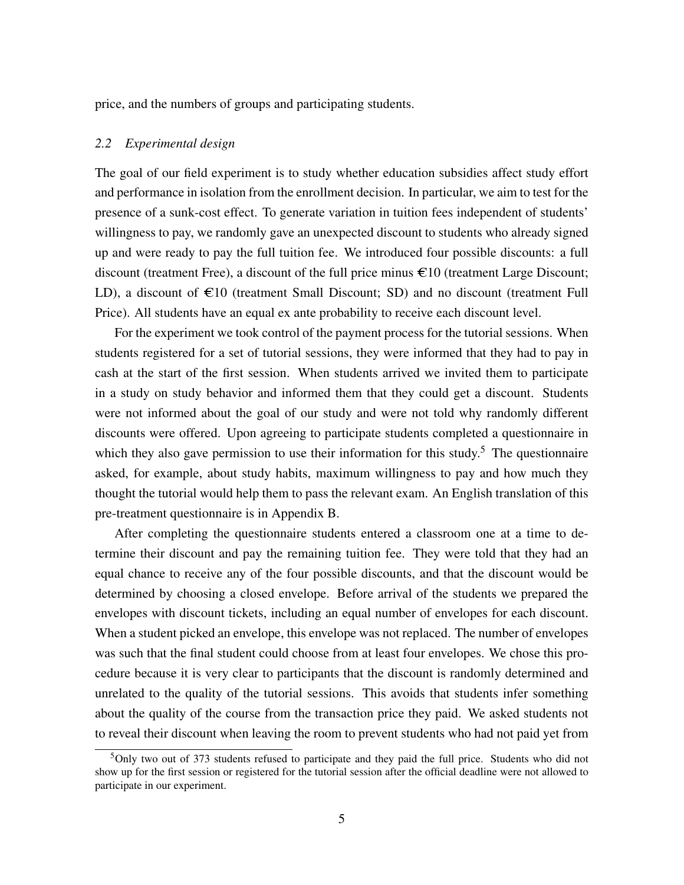price, and the numbers of groups and participating students.

#### *2.2 Experimental design*

The goal of our field experiment is to study whether education subsidies affect study effort and performance in isolation from the enrollment decision. In particular, we aim to test for the presence of a sunk-cost effect. To generate variation in tuition fees independent of students' willingness to pay, we randomly gave an unexpected discount to students who already signed up and were ready to pay the full tuition fee. We introduced four possible discounts: a full discount (treatment Free), a discount of the full price minus  $\epsilon$ 10 (treatment Large Discount; LD), a discount of  $\epsilon$ 10 (treatment Small Discount; SD) and no discount (treatment Full Price). All students have an equal ex ante probability to receive each discount level.

For the experiment we took control of the payment process for the tutorial sessions. When students registered for a set of tutorial sessions, they were informed that they had to pay in cash at the start of the first session. When students arrived we invited them to participate in a study on study behavior and informed them that they could get a discount. Students were not informed about the goal of our study and were not told why randomly different discounts were offered. Upon agreeing to participate students completed a questionnaire in which they also gave permission to use their information for this study.<sup>5</sup> The questionnaire asked, for example, about study habits, maximum willingness to pay and how much they thought the tutorial would help them to pass the relevant exam. An English translation of this pre-treatment questionnaire is in Appendix B.

After completing the questionnaire students entered a classroom one at a time to determine their discount and pay the remaining tuition fee. They were told that they had an equal chance to receive any of the four possible discounts, and that the discount would be determined by choosing a closed envelope. Before arrival of the students we prepared the envelopes with discount tickets, including an equal number of envelopes for each discount. When a student picked an envelope, this envelope was not replaced. The number of envelopes was such that the final student could choose from at least four envelopes. We chose this procedure because it is very clear to participants that the discount is randomly determined and unrelated to the quality of the tutorial sessions. This avoids that students infer something about the quality of the course from the transaction price they paid. We asked students not to reveal their discount when leaving the room to prevent students who had not paid yet from

<sup>5</sup>Only two out of 373 students refused to participate and they paid the full price. Students who did not show up for the first session or registered for the tutorial session after the official deadline were not allowed to participate in our experiment.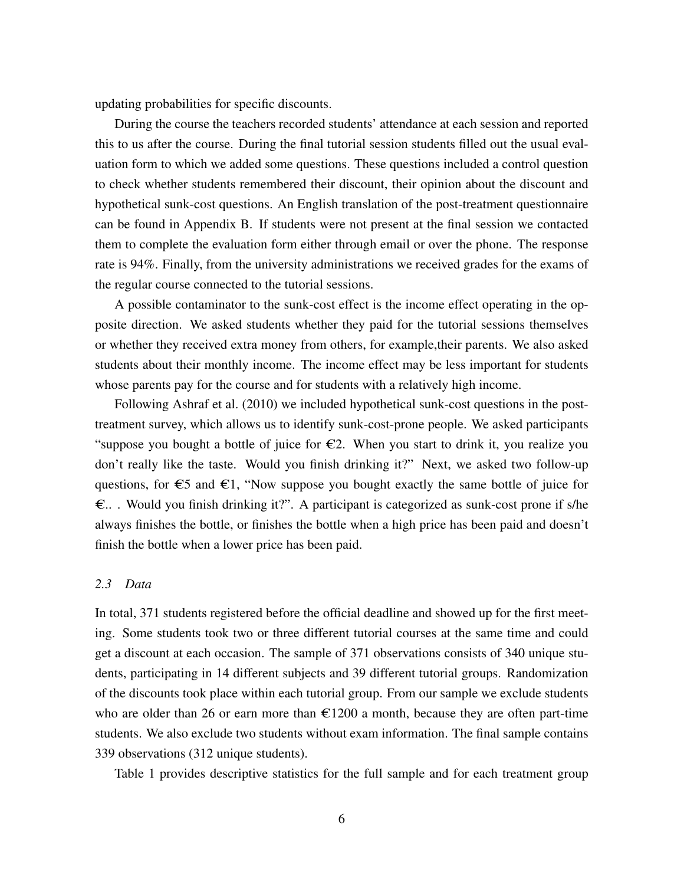updating probabilities for specific discounts.

During the course the teachers recorded students' attendance at each session and reported this to us after the course. During the final tutorial session students filled out the usual evaluation form to which we added some questions. These questions included a control question to check whether students remembered their discount, their opinion about the discount and hypothetical sunk-cost questions. An English translation of the post-treatment questionnaire can be found in Appendix B. If students were not present at the final session we contacted them to complete the evaluation form either through email or over the phone. The response rate is 94%. Finally, from the university administrations we received grades for the exams of the regular course connected to the tutorial sessions.

A possible contaminator to the sunk-cost effect is the income effect operating in the opposite direction. We asked students whether they paid for the tutorial sessions themselves or whether they received extra money from others, for example,their parents. We also asked students about their monthly income. The income effect may be less important for students whose parents pay for the course and for students with a relatively high income.

Following Ashraf et al. (2010) we included hypothetical sunk-cost questions in the posttreatment survey, which allows us to identify sunk-cost-prone people. We asked participants "suppose you bought a bottle of juice for  $\epsilon$ 2. When you start to drink it, you realize you don't really like the taste. Would you finish drinking it?" Next, we asked two follow-up questions, for  $\epsilon$ 5 and  $\epsilon$ 1, "Now suppose you bought exactly the same bottle of juice for  $\epsilon$ ... Would you finish drinking it?". A participant is categorized as sunk-cost prone if s/he always finishes the bottle, or finishes the bottle when a high price has been paid and doesn't finish the bottle when a lower price has been paid.

#### *2.3 Data*

In total, 371 students registered before the official deadline and showed up for the first meeting. Some students took two or three different tutorial courses at the same time and could get a discount at each occasion. The sample of 371 observations consists of 340 unique students, participating in 14 different subjects and 39 different tutorial groups. Randomization of the discounts took place within each tutorial group. From our sample we exclude students who are older than 26 or earn more than  $\epsilon$ 1200 a month, because they are often part-time students. We also exclude two students without exam information. The final sample contains 339 observations (312 unique students).

Table 1 provides descriptive statistics for the full sample and for each treatment group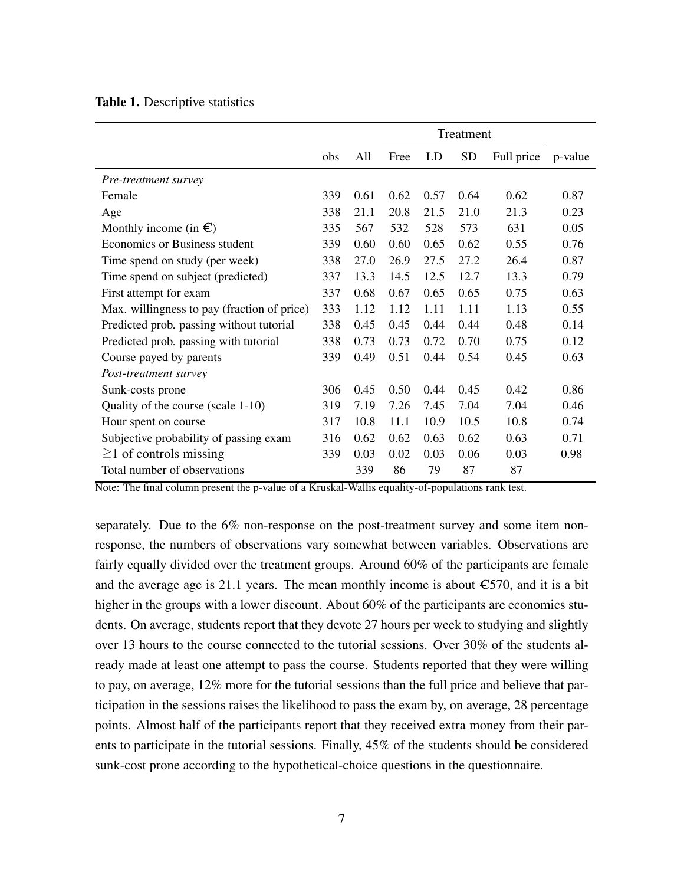| Table 1. Descriptive statistics |  |  |
|---------------------------------|--|--|
|---------------------------------|--|--|

|                                             |     |      |      |      | Treatment |            |         |
|---------------------------------------------|-----|------|------|------|-----------|------------|---------|
|                                             | obs | All  | Free | LD   | <b>SD</b> | Full price | p-value |
| Pre-treatment survey                        |     |      |      |      |           |            |         |
| Female                                      | 339 | 0.61 | 0.62 | 0.57 | 0.64      | 0.62       | 0.87    |
| Age                                         | 338 | 21.1 | 20.8 | 21.5 | 21.0      | 21.3       | 0.23    |
| Monthly income (in $\epsilon$ )             | 335 | 567  | 532  | 528  | 573       | 631        | 0.05    |
| Economics or Business student               | 339 | 0.60 | 0.60 | 0.65 | 0.62      | 0.55       | 0.76    |
| Time spend on study (per week)              | 338 | 27.0 | 26.9 | 27.5 | 27.2      | 26.4       | 0.87    |
| Time spend on subject (predicted)           | 337 | 13.3 | 14.5 | 12.5 | 12.7      | 13.3       | 0.79    |
| First attempt for exam                      | 337 | 0.68 | 0.67 | 0.65 | 0.65      | 0.75       | 0.63    |
| Max. willingness to pay (fraction of price) | 333 | 1.12 | 1.12 | 1.11 | 1.11      | 1.13       | 0.55    |
| Predicted prob. passing without tutorial    | 338 | 0.45 | 0.45 | 0.44 | 0.44      | 0.48       | 0.14    |
| Predicted prob. passing with tutorial       | 338 | 0.73 | 0.73 | 0.72 | 0.70      | 0.75       | 0.12    |
| Course payed by parents                     | 339 | 0.49 | 0.51 | 0.44 | 0.54      | 0.45       | 0.63    |
| Post-treatment survey                       |     |      |      |      |           |            |         |
| Sunk-costs prone                            | 306 | 0.45 | 0.50 | 0.44 | 0.45      | 0.42       | 0.86    |
| Quality of the course (scale 1-10)          | 319 | 7.19 | 7.26 | 7.45 | 7.04      | 7.04       | 0.46    |
| Hour spent on course                        | 317 | 10.8 | 11.1 | 10.9 | 10.5      | 10.8       | 0.74    |
| Subjective probability of passing exam      | 316 | 0.62 | 0.62 | 0.63 | 0.62      | 0.63       | 0.71    |
| $\geq$ 1 of controls missing                | 339 | 0.03 | 0.02 | 0.03 | 0.06      | 0.03       | 0.98    |
| Total number of observations                |     | 339  | 86   | 79   | 87        | 87         |         |

Note: The final column present the p-value of a Kruskal-Wallis equality-of-populations rank test.

separately. Due to the 6% non-response on the post-treatment survey and some item nonresponse, the numbers of observations vary somewhat between variables. Observations are fairly equally divided over the treatment groups. Around 60% of the participants are female and the average age is 21.1 years. The mean monthly income is about  $\epsilon$ 570, and it is a bit higher in the groups with a lower discount. About 60% of the participants are economics students. On average, students report that they devote 27 hours per week to studying and slightly over 13 hours to the course connected to the tutorial sessions. Over 30% of the students already made at least one attempt to pass the course. Students reported that they were willing to pay, on average, 12% more for the tutorial sessions than the full price and believe that participation in the sessions raises the likelihood to pass the exam by, on average, 28 percentage points. Almost half of the participants report that they received extra money from their parents to participate in the tutorial sessions. Finally, 45% of the students should be considered sunk-cost prone according to the hypothetical-choice questions in the questionnaire.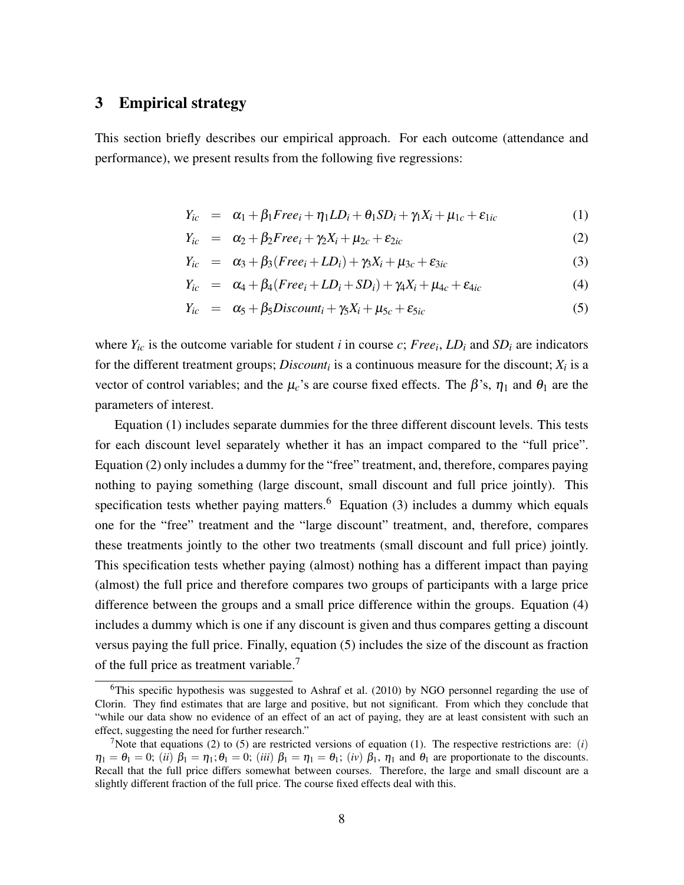#### 3 Empirical strategy

This section briefly describes our empirical approach. For each outcome (attendance and performance), we present results from the following five regressions:

$$
Y_{ic} = \alpha_1 + \beta_1 Free_i + \eta_1 LD_i + \theta_1 SD_i + \gamma_1 X_i + \mu_{1c} + \varepsilon_{1ic}
$$
 (1)

$$
Y_{ic} = \alpha_2 + \beta_2 Free_i + \gamma_2 X_i + \mu_{2c} + \varepsilon_{2ic}
$$
 (2)

$$
Y_{ic} = \alpha_3 + \beta_3 (Free_i + LD_i) + \gamma_3 X_i + \mu_{3c} + \varepsilon_{3ic}
$$
\n(3)

$$
Y_{ic} = \alpha_4 + \beta_4 (Free_i + LD_i + SD_i) + \gamma_4 X_i + \mu_{4c} + \varepsilon_{4ic} \tag{4}
$$

$$
Y_{ic} = \alpha_5 + \beta_5 Discount_i + \gamma_5 X_i + \mu_{5c} + \varepsilon_{5ic}
$$
 (5)

where  $Y_i$  is the outcome variable for student *i* in course *c*; *Free*<sub>*i*</sub>, *LD*<sub>*i*</sub> and *SD*<sub>*i*</sub> are indicators for the different treatment groups; *Discount<sub>i</sub>* is a continuous measure for the discount;  $X_i$  is a vector of control variables; and the  $\mu_c$ 's are course fixed effects. The  $\beta$ 's,  $\eta_1$  and  $\theta_1$  are the parameters of interest.

Equation (1) includes separate dummies for the three different discount levels. This tests for each discount level separately whether it has an impact compared to the "full price". Equation (2) only includes a dummy for the "free" treatment, and, therefore, compares paying nothing to paying something (large discount, small discount and full price jointly). This specification tests whether paying matters.<sup>6</sup> Equation (3) includes a dummy which equals one for the "free" treatment and the "large discount" treatment, and, therefore, compares these treatments jointly to the other two treatments (small discount and full price) jointly. This specification tests whether paying (almost) nothing has a different impact than paying (almost) the full price and therefore compares two groups of participants with a large price difference between the groups and a small price difference within the groups. Equation (4) includes a dummy which is one if any discount is given and thus compares getting a discount versus paying the full price. Finally, equation (5) includes the size of the discount as fraction of the full price as treatment variable.<sup>7</sup>

 $6$ This specific hypothesis was suggested to Ashraf et al. (2010) by NGO personnel regarding the use of Clorin. They find estimates that are large and positive, but not significant. From which they conclude that "while our data show no evidence of an effect of an act of paying, they are at least consistent with such an effect, suggesting the need for further research."

<sup>&</sup>lt;sup>7</sup>Note that equations (2) to (5) are restricted versions of equation (1). The respective restrictions are: (*i*)  $\eta_1 = \theta_1 = 0$ ; (*ii*)  $\beta_1 = \eta_1$ ;  $\theta_1 = 0$ ; (*iii*)  $\beta_1 = \eta_1 = \theta_1$ ; (*iv*)  $\beta_1$ ,  $\eta_1$  and  $\theta_1$  are proportionate to the discounts. Recall that the full price differs somewhat between courses. Therefore, the large and small discount are a slightly different fraction of the full price. The course fixed effects deal with this.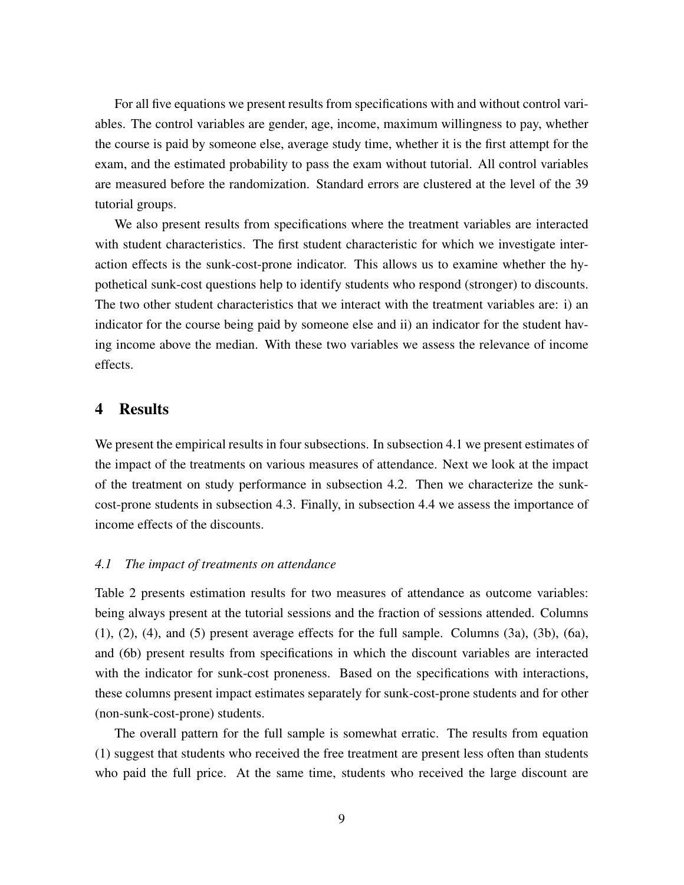For all five equations we present results from specifications with and without control variables. The control variables are gender, age, income, maximum willingness to pay, whether the course is paid by someone else, average study time, whether it is the first attempt for the exam, and the estimated probability to pass the exam without tutorial. All control variables are measured before the randomization. Standard errors are clustered at the level of the 39 tutorial groups.

We also present results from specifications where the treatment variables are interacted with student characteristics. The first student characteristic for which we investigate interaction effects is the sunk-cost-prone indicator. This allows us to examine whether the hypothetical sunk-cost questions help to identify students who respond (stronger) to discounts. The two other student characteristics that we interact with the treatment variables are: i) an indicator for the course being paid by someone else and ii) an indicator for the student having income above the median. With these two variables we assess the relevance of income effects.

#### 4 Results

We present the empirical results in four subsections. In subsection 4.1 we present estimates of the impact of the treatments on various measures of attendance. Next we look at the impact of the treatment on study performance in subsection 4.2. Then we characterize the sunkcost-prone students in subsection 4.3. Finally, in subsection 4.4 we assess the importance of income effects of the discounts.

#### *4.1 The impact of treatments on attendance*

Table 2 presents estimation results for two measures of attendance as outcome variables: being always present at the tutorial sessions and the fraction of sessions attended. Columns  $(1)$ ,  $(2)$ ,  $(4)$ , and  $(5)$  present average effects for the full sample. Columns  $(3a)$ ,  $(3b)$ ,  $(6a)$ , and (6b) present results from specifications in which the discount variables are interacted with the indicator for sunk-cost proneness. Based on the specifications with interactions, these columns present impact estimates separately for sunk-cost-prone students and for other (non-sunk-cost-prone) students.

The overall pattern for the full sample is somewhat erratic. The results from equation (1) suggest that students who received the free treatment are present less often than students who paid the full price. At the same time, students who received the large discount are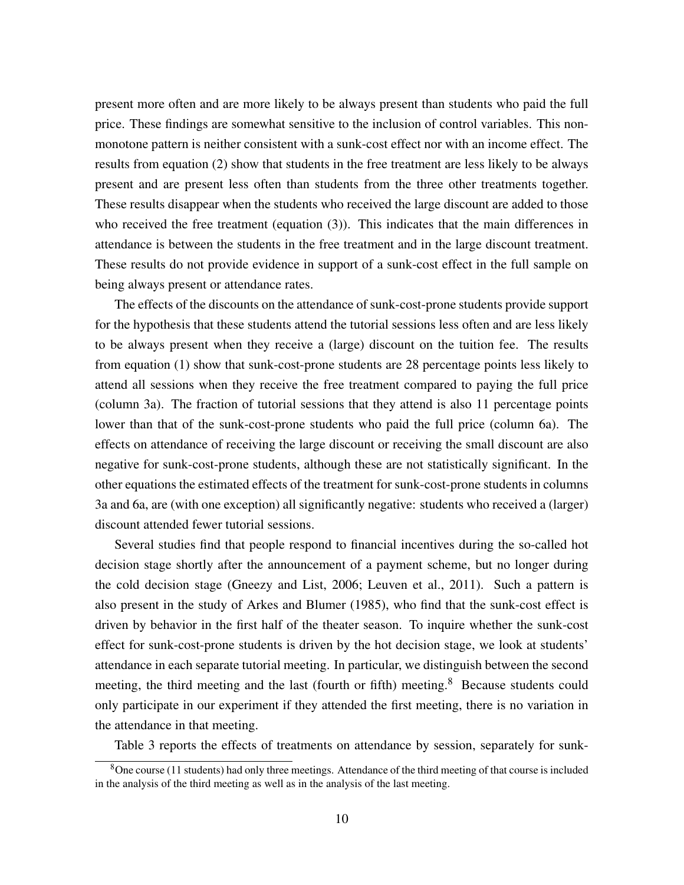present more often and are more likely to be always present than students who paid the full price. These findings are somewhat sensitive to the inclusion of control variables. This nonmonotone pattern is neither consistent with a sunk-cost effect nor with an income effect. The results from equation (2) show that students in the free treatment are less likely to be always present and are present less often than students from the three other treatments together. These results disappear when the students who received the large discount are added to those who received the free treatment (equation (3)). This indicates that the main differences in attendance is between the students in the free treatment and in the large discount treatment. These results do not provide evidence in support of a sunk-cost effect in the full sample on being always present or attendance rates.

The effects of the discounts on the attendance of sunk-cost-prone students provide support for the hypothesis that these students attend the tutorial sessions less often and are less likely to be always present when they receive a (large) discount on the tuition fee. The results from equation (1) show that sunk-cost-prone students are 28 percentage points less likely to attend all sessions when they receive the free treatment compared to paying the full price (column 3a). The fraction of tutorial sessions that they attend is also 11 percentage points lower than that of the sunk-cost-prone students who paid the full price (column 6a). The effects on attendance of receiving the large discount or receiving the small discount are also negative for sunk-cost-prone students, although these are not statistically significant. In the other equations the estimated effects of the treatment for sunk-cost-prone students in columns 3a and 6a, are (with one exception) all significantly negative: students who received a (larger) discount attended fewer tutorial sessions.

Several studies find that people respond to financial incentives during the so-called hot decision stage shortly after the announcement of a payment scheme, but no longer during the cold decision stage (Gneezy and List, 2006; Leuven et al., 2011). Such a pattern is also present in the study of Arkes and Blumer (1985), who find that the sunk-cost effect is driven by behavior in the first half of the theater season. To inquire whether the sunk-cost effect for sunk-cost-prone students is driven by the hot decision stage, we look at students' attendance in each separate tutorial meeting. In particular, we distinguish between the second meeting, the third meeting and the last (fourth or fifth) meeting.<sup>8</sup> Because students could only participate in our experiment if they attended the first meeting, there is no variation in the attendance in that meeting.

Table 3 reports the effects of treatments on attendance by session, separately for sunk-

<sup>8</sup>One course (11 students) had only three meetings. Attendance of the third meeting of that course is included in the analysis of the third meeting as well as in the analysis of the last meeting.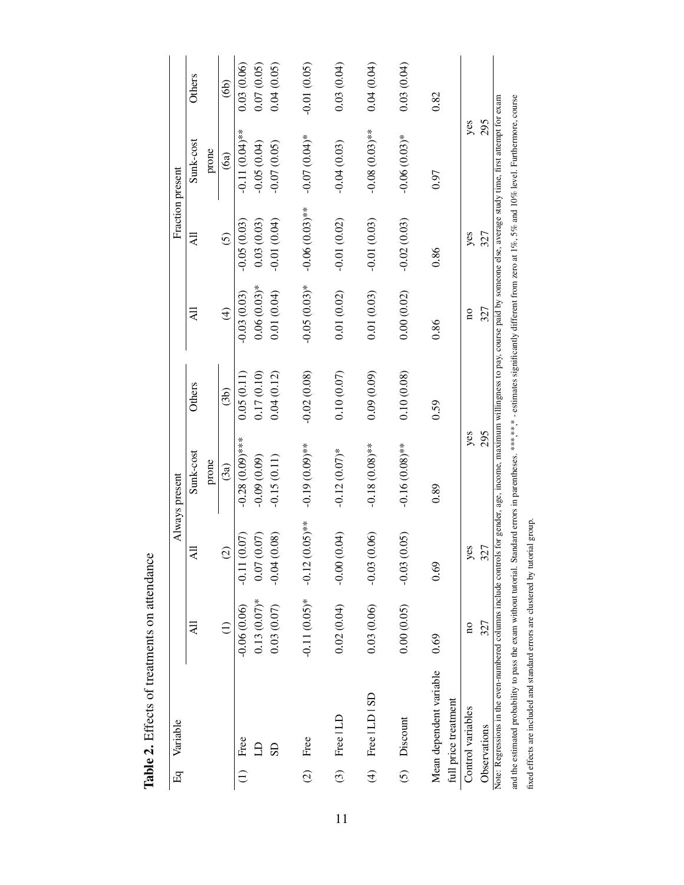| Eq                      | Variable                                                                                                                                                                                              |                         |                               | Always present    |               |                         | Fraction present |                  |               |
|-------------------------|-------------------------------------------------------------------------------------------------------------------------------------------------------------------------------------------------------|-------------------------|-------------------------------|-------------------|---------------|-------------------------|------------------|------------------|---------------|
|                         |                                                                                                                                                                                                       | ₹                       | ₹                             | Sunk-cost         | <b>Others</b> | ₹                       | ₹                | Sunk-cost        | <b>Others</b> |
|                         |                                                                                                                                                                                                       |                         |                               | prone             |               |                         |                  | prone            |               |
|                         |                                                                                                                                                                                                       | $\widehat{\Xi}$         | $\widehat{G}$                 | (3a)              | (3b)          | $\widehat{f}$           | $\widehat{c}$    | (6a)             | $\bigcirc$    |
| $\widehat{\Xi}$         | Free                                                                                                                                                                                                  | $-0.06(0.06)$           | $\widetilde{C}$<br>$-0.11(0)$ | $-0.28(0.09)$ *** | 0.05(0.11)    | $-0.03(0.03)$           | $-0.05(0.03)$    | $-0.11(0.04)$ ** | 0.03(0.06)    |
|                         |                                                                                                                                                                                                       | $0.13(0.07)$ *          | 0.07(0.07)                    | $-0.09(0.09)$     | 0.17(0.10)    | $0.06(0.03)*$           | 0.03(0.03)       | $-0.05(0.04)$    | 0.07(0.05)    |
|                         | SD                                                                                                                                                                                                    | 0.03(0.07)              | $-0.04(0.08)$                 | $-0.15(0.11)$     | 0.04(0.12)    | 0.01(0.04)              | $-0.01(0.04)$    | $-0.07(0.05)$    | 0.04(0.05)    |
| $\widehat{C}$           | Free                                                                                                                                                                                                  | $-0.11(0.05)*$          | $(5.05)$ **<br>$-0.12(0)$     | $-0.19(0.09)$ **  | $-0.02(0.08)$ | $-0.05(0.03)*$          | $-0.06(0.03)$ ** | $-0.07(0.04)$ *  | $-0.01(0.05)$ |
|                         | $(3)$ Free LD                                                                                                                                                                                         | 0.02(0.04)              | (50, 1)<br>$-0.00(0)$         | $-0.12(0.07)$ *   | 0.10(0.07)    | 0.01(0.02)              | $-0.01(0.02)$    | $-0.04(0.03)$    | 0.03(0.04)    |
| $\widehat{\mathcal{F}}$ | Free   LD   SD                                                                                                                                                                                        | 0.03(0.06)              | $\odot$<br>$-0.03(0)$         | $-0.18(0.08)$ **  | 0.09(0.09)    | 0.01(0.03)              | $-0.01(0.03)$    | $-0.08(0.03)$ ** | 0.04(0.04)    |
|                         | (5) Discount                                                                                                                                                                                          | 0.00(0.05)              | (50)<br>$-0.03(0)$            | $-0.16(0.08)$ **  | 0.10(0.08)    | 0.00(0.02)              | $-0.02(0.03)$    | $-0.06(0.03)$ *  | 0.03(0.04)    |
|                         | Mean dependent variable                                                                                                                                                                               | 0.69                    | 0.69                          | 0.89              | 0.59          | 0.86                    | 0.86             | 0.97             | 0.82          |
|                         | full price treatment                                                                                                                                                                                  |                         |                               |                   |               |                         |                  |                  |               |
|                         | Control variables                                                                                                                                                                                     | $\overline{\mathbf{a}}$ | yes                           | yes               |               | $\overline{\mathbf{a}}$ | yes              | yes              |               |
|                         | Observations                                                                                                                                                                                          | 327                     | 327                           | 295               |               | 327                     | 327              | 295              |               |
|                         | Note: Regressions in the even-numbered columns include controls for gender, age, income, maximum willingness to pay, course paid by someone else, average study time, first attempt for exam          |                         |                               |                   |               |                         |                  |                  |               |
|                         | and the estimated probability to pass the exam without tutorial. Standard errors in parentheses. ****,**,* - estimates significantly different from zero at 1%, 5% and 10% level. Furthermore, course |                         |                               |                   |               |                         |                  |                  |               |

Table 2. Effects of treatments on attendance Table 2. Effects of treatments on attendance fixed effects are included and standard errors are clustered by tutorial group.

fixed effects are included and standard errors are clustered by tutorial group.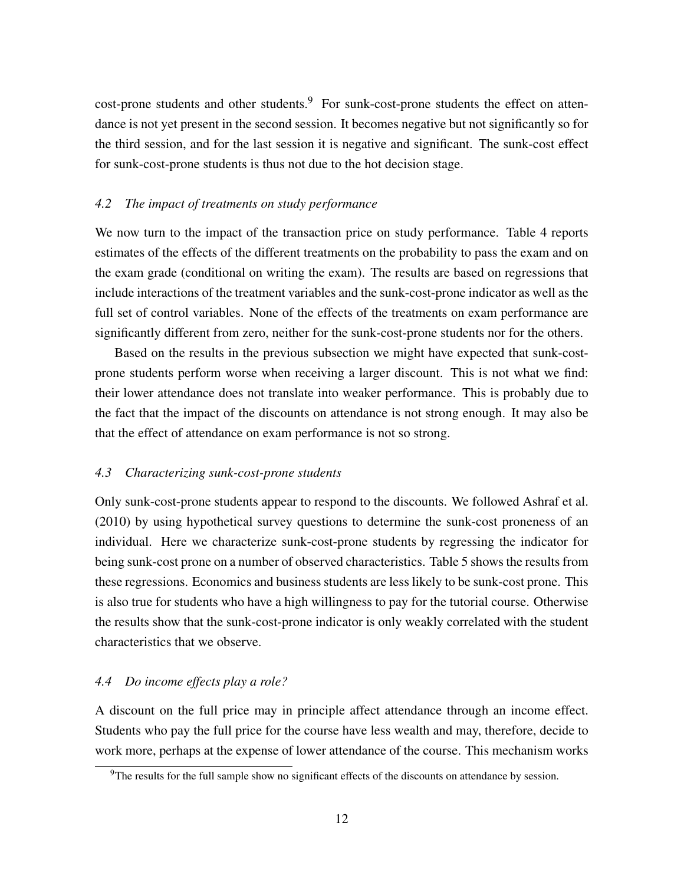cost-prone students and other students.<sup>9</sup> For sunk-cost-prone students the effect on attendance is not yet present in the second session. It becomes negative but not significantly so for the third session, and for the last session it is negative and significant. The sunk-cost effect for sunk-cost-prone students is thus not due to the hot decision stage.

#### *4.2 The impact of treatments on study performance*

We now turn to the impact of the transaction price on study performance. Table 4 reports estimates of the effects of the different treatments on the probability to pass the exam and on the exam grade (conditional on writing the exam). The results are based on regressions that include interactions of the treatment variables and the sunk-cost-prone indicator as well as the full set of control variables. None of the effects of the treatments on exam performance are significantly different from zero, neither for the sunk-cost-prone students nor for the others.

Based on the results in the previous subsection we might have expected that sunk-costprone students perform worse when receiving a larger discount. This is not what we find: their lower attendance does not translate into weaker performance. This is probably due to the fact that the impact of the discounts on attendance is not strong enough. It may also be that the effect of attendance on exam performance is not so strong.

#### *4.3 Characterizing sunk-cost-prone students*

Only sunk-cost-prone students appear to respond to the discounts. We followed Ashraf et al. (2010) by using hypothetical survey questions to determine the sunk-cost proneness of an individual. Here we characterize sunk-cost-prone students by regressing the indicator for being sunk-cost prone on a number of observed characteristics. Table 5 shows the results from these regressions. Economics and business students are less likely to be sunk-cost prone. This is also true for students who have a high willingness to pay for the tutorial course. Otherwise the results show that the sunk-cost-prone indicator is only weakly correlated with the student characteristics that we observe.

#### *4.4 Do income effects play a role?*

A discount on the full price may in principle affect attendance through an income effect. Students who pay the full price for the course have less wealth and may, therefore, decide to work more, perhaps at the expense of lower attendance of the course. This mechanism works

<sup>&</sup>lt;sup>9</sup>The results for the full sample show no significant effects of the discounts on attendance by session.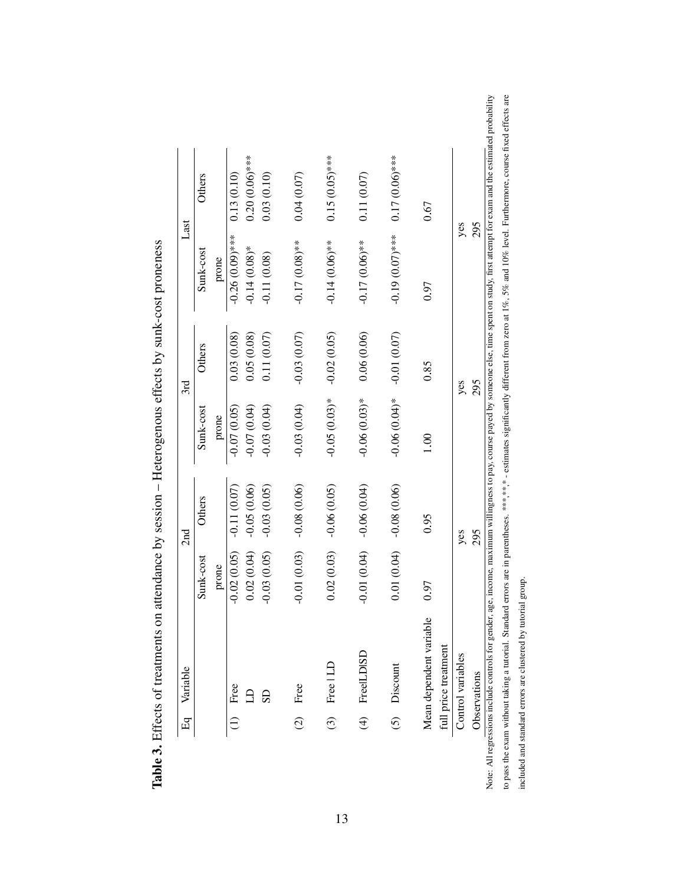| $E_{\rm d}$   | Variable                |               | 2nd           |                 | 3rd           |                   | Last             |
|---------------|-------------------------|---------------|---------------|-----------------|---------------|-------------------|------------------|
|               |                         | Sunk-cost     | Others        | Sunk-cost       | Others        | Sunk-cost         | Others           |
|               |                         | prone         |               | prone           |               | prone             |                  |
|               | Free                    | $-0.02(0.05)$ | $-0.11(0.07)$ | $-0.07(0.05)$   | 0.03(0.08)    | $-0.26(0.09)$ *** | 0.13(0.10)       |
|               |                         | 0.02(0.04)    | $-0.05(0.06)$ | (0.07, 0.04)    | 0.05(0.08)    | $-0.14(0.08)*$    | $0.20(0.06)$ *** |
|               | $\overline{S}$          | $-0.03(0.05)$ | $-0.03(0.05)$ | $-0.03(0.04)$   | 0.11(0.07)    | $-0.11(0.08)$     | 0.03(0.10)       |
| $\widehat{c}$ | Free                    | $-0.01(0.03)$ | $-0.08(0.06)$ | $-0.03(0.04)$   | $-0.03(0.07)$ | $-0.17(0.08)$ **  | 0.04(0.07)       |
| $\odot$       | Free   LD               | 0.02(0.03)    | $-0.06(0.05)$ | $-0.05(0.03)*$  | $-0.02(0.05)$ | $-0.14(0.06)$ **  | $0.15(0.05)$ *** |
|               | (4) FreeILDISD          | $-0.01(0.04)$ | $-0.06(0.04)$ | $-0.06(0.03)*$  | 0.06(0.06)    | $-0.17(0.06)$ **  | 0.11(0.07)       |
| $\widehat{c}$ | Discount                | 0.01(0.04)    | $-0.08(0.06)$ | $-0.06(0.04)$ * | $-0.01(0.07)$ | $-0.19(0.07)$ *** | $0.17(0.06)$ *** |
|               | Mean dependent variable | 0.97          | 0.95          | 1.00            | 0.85          | 0.97              | 0.67             |
|               | full price treatment    |               |               |                 |               |                   |                  |
|               | Control variables       |               | yes           |                 | yes           | yes               |                  |
|               | Observations            |               | 295           |                 | 295           | 295               |                  |

Table 3. Effects of treatments on attendance by session - Heterogenous effects by sunk-cost proneness Table 3. Effects of treatments on attendance by session – Heterogenous effects by sunk-cost proneness

13

obability to pass the exam without taking a tutorial. Standard errors are in parentheses. \*\*\*,\* \* - estimates significantly different from zero at 1%, 5% and 10% level. Furthermore, course fixed effects are Note: All regressions include controls for gender, age, income, maximum willingness to pay, course payed by someone else, time spent on study, first attempt for exam and the estimated probability to pass the exam without taking a tutorial. Standard errors are in parentheses. \*\*\*,\*,\*,\*, estimates significantly different from zero at 1%, 5% and 10% level. Furthermore, course fixed effects are included and standard errors are clustered by tutorial group. included and standard errors are clustered by tutorial group. Note: All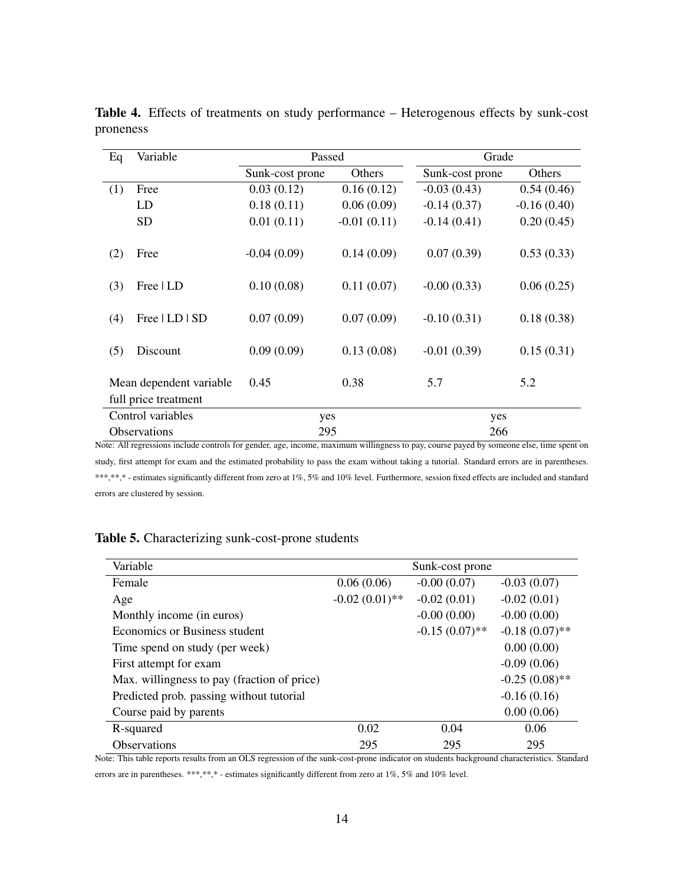| Eq  | Variable                                                                                                                                              | Passed          |               | Grade           |               |
|-----|-------------------------------------------------------------------------------------------------------------------------------------------------------|-----------------|---------------|-----------------|---------------|
|     |                                                                                                                                                       | Sunk-cost prone | Others        | Sunk-cost prone | Others        |
| (1) | Free                                                                                                                                                  | 0.03(0.12)      | 0.16(0.12)    | $-0.03(0.43)$   | 0.54(0.46)    |
|     | LD                                                                                                                                                    | 0.18(0.11)      | 0.06(0.09)    | $-0.14(0.37)$   | $-0.16(0.40)$ |
|     | <b>SD</b>                                                                                                                                             | 0.01(0.11)      | $-0.01(0.11)$ | $-0.14(0.41)$   | 0.20(0.45)    |
| (2) | Free                                                                                                                                                  | $-0.04(0.09)$   | 0.14(0.09)    | 0.07(0.39)      | 0.53(0.33)    |
| (3) | Free   LD                                                                                                                                             | 0.10(0.08)      | 0.11(0.07)    | $-0.00(0.33)$   | 0.06(0.25)    |
| (4) | Free   LD   SD                                                                                                                                        | 0.07(0.09)      | 0.07(0.09)    | $-0.10(0.31)$   | 0.18(0.38)    |
| (5) | Discount                                                                                                                                              | 0.09(0.09)      | 0.13(0.08)    | $-0.01(0.39)$   | 0.15(0.31)    |
|     | Mean dependent variable                                                                                                                               | 0.45            | 0.38          | 5.7             | 5.2           |
|     | full price treatment                                                                                                                                  |                 |               |                 |               |
|     | Control variables                                                                                                                                     | yes             |               | yes             |               |
|     | Observations<br>ote; All regressions include controls for gender, age, income, maximum willingness to nay, course naved by someone else, time spent o | 295             |               | 266             |               |

Table 4. Effects of treatments on study performance – Heterogenous effects by sunk-cost proneness

Note: All regressions include controls for gender, age, income, maximum willingness to pay, course payed by someone else, time spent on study, first attempt for exam and the estimated probability to pass the exam without taking a tutorial. Standard errors are in parentheses. \*\*\*,\*\*,\* - estimates significantly different from zero at 1%, 5% and 10% level. Furthermore, session fixed effects are included and standard errors are clustered by session.

#### Table 5. Characterizing sunk-cost-prone students

| Variable                                    |                  | Sunk-cost prone  |                  |
|---------------------------------------------|------------------|------------------|------------------|
| Female                                      | 0.06(0.06)       | $-0.00(0.07)$    | $-0.03(0.07)$    |
| Age                                         | $-0.02(0.01)$ ** | $-0.02(0.01)$    | $-0.02(0.01)$    |
| Monthly income (in euros)                   |                  | $-0.00(0.00)$    | $-0.00(0.00)$    |
| Economics or Business student               |                  | $-0.15(0.07)$ ** | $-0.18(0.07)$ ** |
| Time spend on study (per week)              |                  |                  | 0.00(0.00)       |
| First attempt for exam                      |                  |                  | $-0.09(0.06)$    |
| Max. willingness to pay (fraction of price) |                  |                  | $-0.25(0.08)$ ** |
| Predicted prob. passing without tutorial    |                  |                  | $-0.16(0.16)$    |
| Course paid by parents                      |                  |                  | 0.00(0.06)       |
| R-squared                                   | 0.02             | 0.04             | 0.06             |
| <b>Observations</b>                         | 295              | 295              | 295              |

Note: This table reports results from an OLS regression of the sunk-cost-prone indicator on students background characteristics. Standard

errors are in parentheses. \*\*\*,\*\*,\* - estimates significantly different from zero at 1%, 5% and 10% level.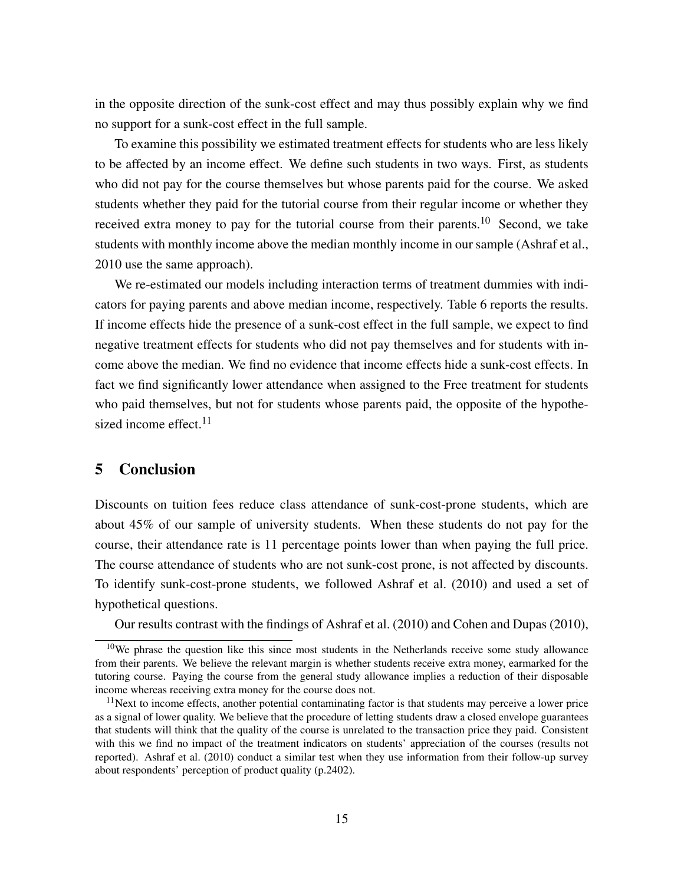in the opposite direction of the sunk-cost effect and may thus possibly explain why we find no support for a sunk-cost effect in the full sample.

To examine this possibility we estimated treatment effects for students who are less likely to be affected by an income effect. We define such students in two ways. First, as students who did not pay for the course themselves but whose parents paid for the course. We asked students whether they paid for the tutorial course from their regular income or whether they received extra money to pay for the tutorial course from their parents.<sup>10</sup> Second, we take students with monthly income above the median monthly income in our sample (Ashraf et al., 2010 use the same approach).

We re-estimated our models including interaction terms of treatment dummies with indicators for paying parents and above median income, respectively. Table 6 reports the results. If income effects hide the presence of a sunk-cost effect in the full sample, we expect to find negative treatment effects for students who did not pay themselves and for students with income above the median. We find no evidence that income effects hide a sunk-cost effects. In fact we find significantly lower attendance when assigned to the Free treatment for students who paid themselves, but not for students whose parents paid, the opposite of the hypothesized income effect.<sup>11</sup>

#### 5 Conclusion

Discounts on tuition fees reduce class attendance of sunk-cost-prone students, which are about 45% of our sample of university students. When these students do not pay for the course, their attendance rate is 11 percentage points lower than when paying the full price. The course attendance of students who are not sunk-cost prone, is not affected by discounts. To identify sunk-cost-prone students, we followed Ashraf et al. (2010) and used a set of hypothetical questions.

Our results contrast with the findings of Ashraf et al. (2010) and Cohen and Dupas (2010),

 $10$ We phrase the question like this since most students in the Netherlands receive some study allowance from their parents. We believe the relevant margin is whether students receive extra money, earmarked for the tutoring course. Paying the course from the general study allowance implies a reduction of their disposable income whereas receiving extra money for the course does not.

<sup>&</sup>lt;sup>11</sup>Next to income effects, another potential contaminating factor is that students may perceive a lower price as a signal of lower quality. We believe that the procedure of letting students draw a closed envelope guarantees that students will think that the quality of the course is unrelated to the transaction price they paid. Consistent with this we find no impact of the treatment indicators on students' appreciation of the courses (results not reported). Ashraf et al. (2010) conduct a similar test when they use information from their follow-up survey about respondents' perception of product quality (p.2402).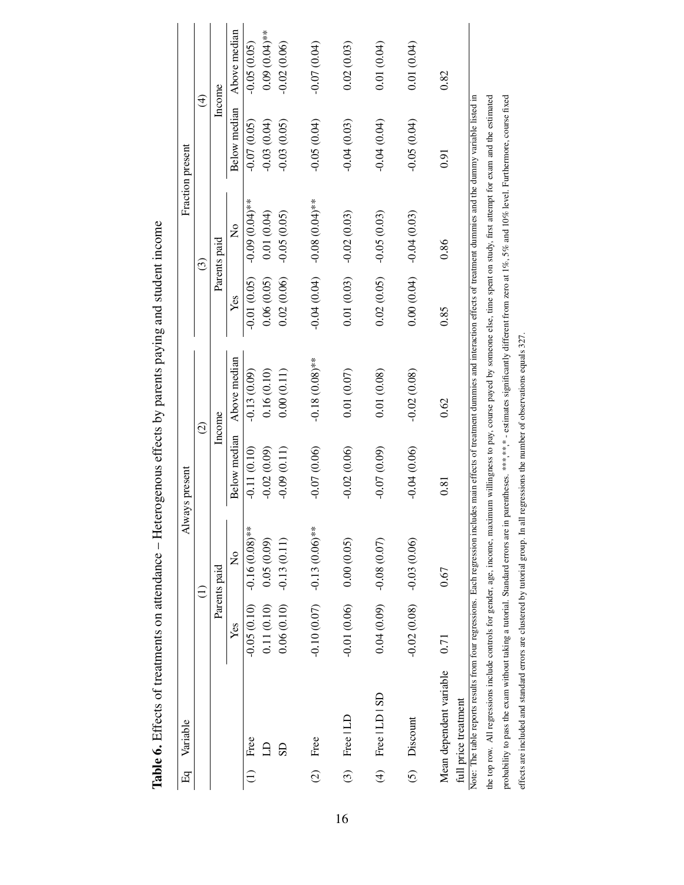| $E_{\rm q}$     | Variable                                                                                                                                                                                                                                                                      |               | ₹                            | ways present  |                                                                                                                       |                            |                             | Fraction present        |                 |
|-----------------|-------------------------------------------------------------------------------------------------------------------------------------------------------------------------------------------------------------------------------------------------------------------------------|---------------|------------------------------|---------------|-----------------------------------------------------------------------------------------------------------------------|----------------------------|-----------------------------|-------------------------|-----------------|
|                 |                                                                                                                                                                                                                                                                               |               |                              | $\widehat{c}$ |                                                                                                                       |                            | $\widehat{c}$               | $\widehat{\mathcal{F}}$ |                 |
|                 |                                                                                                                                                                                                                                                                               |               | Parents paid                 |               | Income                                                                                                                |                            | Parents paid                | Income                  |                 |
|                 |                                                                                                                                                                                                                                                                               | Yes           | $\mathsf{z}^{\circ}$         | Below median  | Above median                                                                                                          | Yes                        | $\tilde{\mathsf{z}}$        | <b>Below</b> median     | Above median    |
| $\widehat{\Xi}$ | Free                                                                                                                                                                                                                                                                          | $-0.05(0.10)$ | $-0.16(0.08)$ **             | $-0.11(0.10)$ | $-0.13(0.09)$                                                                                                         | $-0.01(0.05)$              | $-0.09$ (0.00)              | $-0.07(0.05)$           | $-0.05(0.05)$   |
|                 |                                                                                                                                                                                                                                                                               | 0.11(0.10)    | 0.05(0.09)                   | $-0.02(0.09)$ | 0.16(0.10)                                                                                                            | 0.06(0.05)                 | 0.01(0.04)                  | $-0.03(0.04)$           | $0.09(0.04)$ ** |
|                 | SD                                                                                                                                                                                                                                                                            | 0.06(0.10)    | $-0.13(0.11)$                | $-0.09(0.11)$ | 0.00(0.11)                                                                                                            | 0.02(0.06)                 | $-0.05(0.05)$               | $-0.03(0.05)$           | $-0.02(0.06)$   |
| $\widehat{c}$   | Free                                                                                                                                                                                                                                                                          |               | $-0.10(0.07)$ $-13(0.06)$ ** | $-0.07(0.06)$ | $-0.18(0.08)$ **                                                                                                      |                            | **(40:0) 80:0- (40:0) #0:0- | $-0.05(0.04)$           | $-0.07(0.04)$   |
| $\widehat{c}$   | Free   LD                                                                                                                                                                                                                                                                     | $-0.01(0.06)$ | 0.00(0.05)                   | $-0.02(0.06)$ | 0.01(0.07)                                                                                                            | 0.01(0.03)                 | $-0.02(0.03)$               | $-0.04(0.03)$           | 0.02(0.03)      |
|                 | $(4)$ Free $ LD SD$                                                                                                                                                                                                                                                           |               | $0.04(0.09)$ $-0.08(0.07)$   | $-0.07(0.09)$ | 0.01(0.08)                                                                                                            | $0.02(0.05)$ $-0.05(0.03)$ |                             | $-0.04(0.04)$           | 0.01(0.04)      |
| $\widetilde{c}$ | Discount                                                                                                                                                                                                                                                                      | $-0.02(0.08)$ | $-0.03(0.06)$                | $-0.04(0.06)$ | $-0.02(0.08)$                                                                                                         | 0.00(0.04)                 | $-0.04(0.03)$               | $-0.05(0.04)$           | 0.01(0.04)      |
|                 | Mean dependent variable<br>full price treatment                                                                                                                                                                                                                               | 0.71          | 0.67                         | 0.81          | 0.62                                                                                                                  | 0.85                       | 0.86                        | 0.91                    | 0.82            |
|                 | the top row. All regressions include controls for gender, age, income, maximum willingness to pay, course payed by someone else, time spent on study, first attempt for exam and the estimated<br>Note: The table reports results from four regressions. Each regression incl |               |                              |               | ludes main effects of treatment dummies and interaction effects of treatment dummies and the dummy variable listed in |                            |                             |                         |                 |
|                 | probability to pass the exam without taking a tutorial. Standard errors are in parentheses. ***,**,* - estimates significantly different from zero at 1%, 5% and 10% level. Furthermore, course fixed                                                                         |               |                              |               |                                                                                                                       |                            |                             |                         |                 |

probability to pass the exam without taking a tutorial. Standard errors are in parentheses. \*\*\*,\*,\* - estimates significantly different from zero at 1%, 5% and 10% level. Furthermore, course fixed

effects are included and standard errors are clustered by tutorial group. In all regressions the number of observations equals 327.

effects are included and standard errors are clustered by tutorial group. In all regressions the number of observations equals 327.

Table 6. Effects of treatments on attendance - Heterogenous effects by parents paying and student income Table 6. Effects of treatments on attendance – Heterogenous effects by parents paying and student income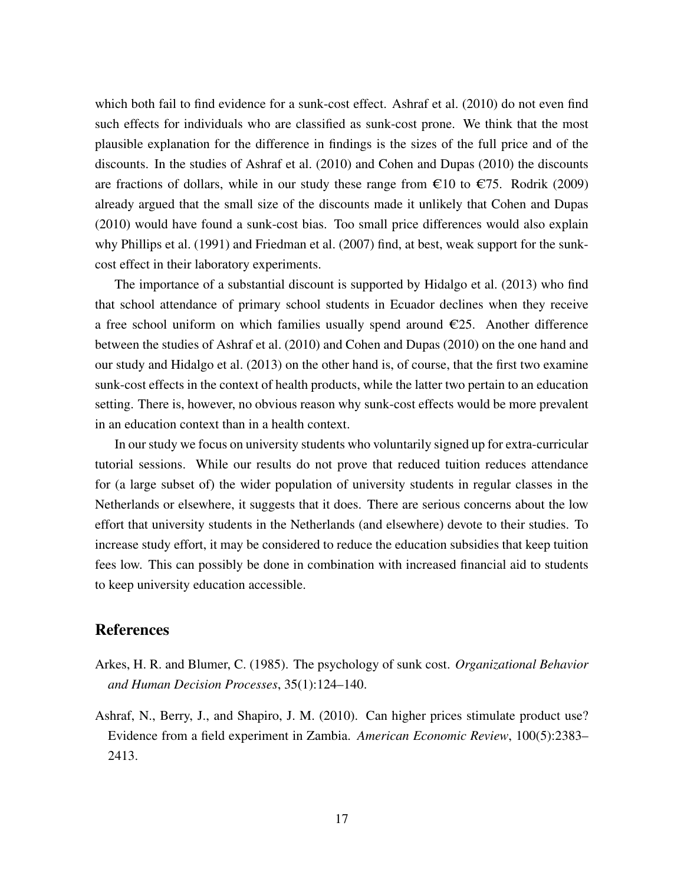which both fail to find evidence for a sunk-cost effect. Ashraf et al. (2010) do not even find such effects for individuals who are classified as sunk-cost prone. We think that the most plausible explanation for the difference in findings is the sizes of the full price and of the discounts. In the studies of Ashraf et al. (2010) and Cohen and Dupas (2010) the discounts are fractions of dollars, while in our study these range from  $\epsilon$ 10 to  $\epsilon$ 75. Rodrik (2009) already argued that the small size of the discounts made it unlikely that Cohen and Dupas (2010) would have found a sunk-cost bias. Too small price differences would also explain why Phillips et al. (1991) and Friedman et al. (2007) find, at best, weak support for the sunkcost effect in their laboratory experiments.

The importance of a substantial discount is supported by Hidalgo et al. (2013) who find that school attendance of primary school students in Ecuador declines when they receive a free school uniform on which families usually spend around  $\epsilon$ 25. Another difference between the studies of Ashraf et al. (2010) and Cohen and Dupas (2010) on the one hand and our study and Hidalgo et al. (2013) on the other hand is, of course, that the first two examine sunk-cost effects in the context of health products, while the latter two pertain to an education setting. There is, however, no obvious reason why sunk-cost effects would be more prevalent in an education context than in a health context.

In our study we focus on university students who voluntarily signed up for extra-curricular tutorial sessions. While our results do not prove that reduced tuition reduces attendance for (a large subset of) the wider population of university students in regular classes in the Netherlands or elsewhere, it suggests that it does. There are serious concerns about the low effort that university students in the Netherlands (and elsewhere) devote to their studies. To increase study effort, it may be considered to reduce the education subsidies that keep tuition fees low. This can possibly be done in combination with increased financial aid to students to keep university education accessible.

#### References

- Arkes, H. R. and Blumer, C. (1985). The psychology of sunk cost. *Organizational Behavior and Human Decision Processes*, 35(1):124–140.
- Ashraf, N., Berry, J., and Shapiro, J. M. (2010). Can higher prices stimulate product use? Evidence from a field experiment in Zambia. *American Economic Review*, 100(5):2383– 2413.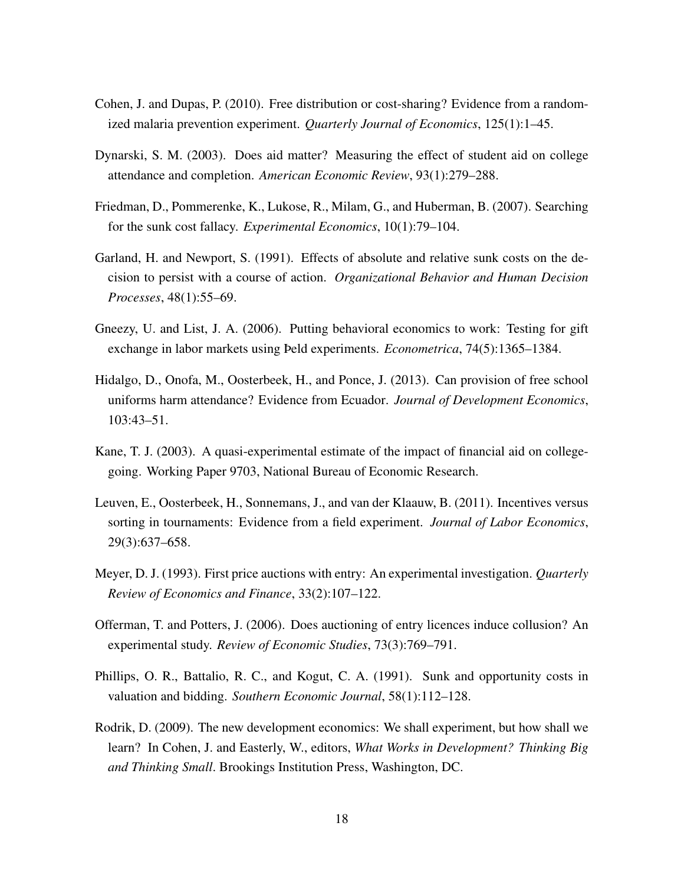- Cohen, J. and Dupas, P. (2010). Free distribution or cost-sharing? Evidence from a randomized malaria prevention experiment. *Quarterly Journal of Economics*, 125(1):1–45.
- Dynarski, S. M. (2003). Does aid matter? Measuring the effect of student aid on college attendance and completion. *American Economic Review*, 93(1):279–288.
- Friedman, D., Pommerenke, K., Lukose, R., Milam, G., and Huberman, B. (2007). Searching for the sunk cost fallacy. *Experimental Economics*, 10(1):79–104.
- Garland, H. and Newport, S. (1991). Effects of absolute and relative sunk costs on the decision to persist with a course of action. *Organizational Behavior and Human Decision Processes*, 48(1):55–69.
- Gneezy, U. and List, J. A. (2006). Putting behavioral economics to work: Testing for gift exchange in labor markets using Þeld experiments. *Econometrica*, 74(5):1365–1384.
- Hidalgo, D., Onofa, M., Oosterbeek, H., and Ponce, J. (2013). Can provision of free school uniforms harm attendance? Evidence from Ecuador. *Journal of Development Economics*, 103:43–51.
- Kane, T. J. (2003). A quasi-experimental estimate of the impact of financial aid on collegegoing. Working Paper 9703, National Bureau of Economic Research.
- Leuven, E., Oosterbeek, H., Sonnemans, J., and van der Klaauw, B. (2011). Incentives versus sorting in tournaments: Evidence from a field experiment. *Journal of Labor Economics*, 29(3):637–658.
- Meyer, D. J. (1993). First price auctions with entry: An experimental investigation. *Quarterly Review of Economics and Finance*, 33(2):107–122.
- Offerman, T. and Potters, J. (2006). Does auctioning of entry licences induce collusion? An experimental study. *Review of Economic Studies*, 73(3):769–791.
- Phillips, O. R., Battalio, R. C., and Kogut, C. A. (1991). Sunk and opportunity costs in valuation and bidding. *Southern Economic Journal*, 58(1):112–128.
- Rodrik, D. (2009). The new development economics: We shall experiment, but how shall we learn? In Cohen, J. and Easterly, W., editors, *What Works in Development? Thinking Big and Thinking Small*. Brookings Institution Press, Washington, DC.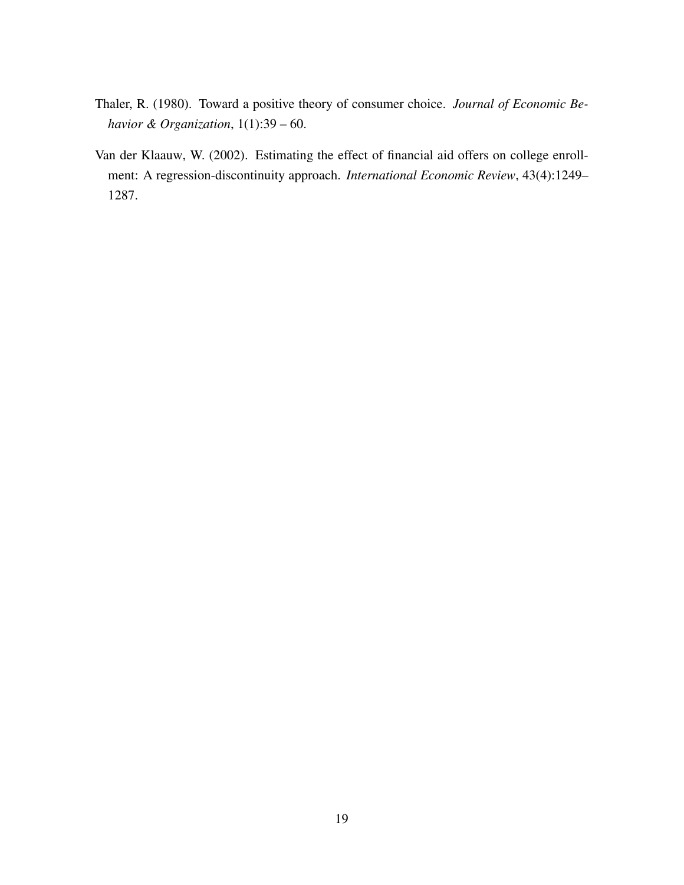- Thaler, R. (1980). Toward a positive theory of consumer choice. *Journal of Economic Behavior & Organization*, 1(1):39 – 60.
- Van der Klaauw, W. (2002). Estimating the effect of financial aid offers on college enrollment: A regression-discontinuity approach. *International Economic Review*, 43(4):1249– 1287.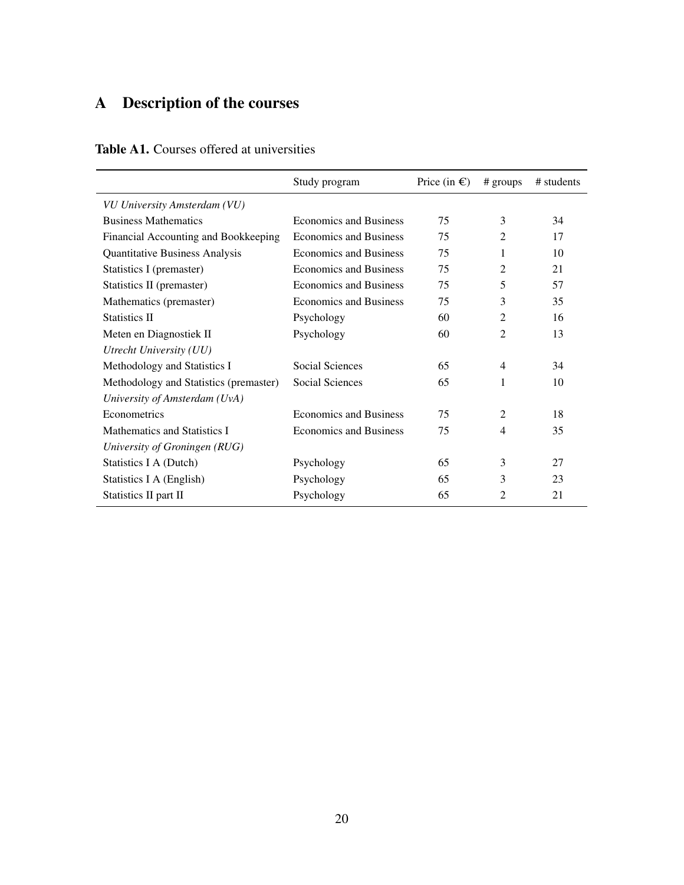## A Description of the courses

|                                        | Study program                 | Price (in $\epsilon$ ) | $#$ groups     | # students |
|----------------------------------------|-------------------------------|------------------------|----------------|------------|
| VU University Amsterdam (VU)           |                               |                        |                |            |
| <b>Business Mathematics</b>            | <b>Economics and Business</b> | 75                     | 3              | 34         |
| Financial Accounting and Bookkeeping   | <b>Economics and Business</b> | 75                     | $\overline{2}$ | 17         |
| Quantitative Business Analysis         | <b>Economics and Business</b> | 75                     | 1              | 10         |
| Statistics I (premaster)               | <b>Economics and Business</b> | 75                     | 2              | 21         |
| Statistics II (premaster)              | <b>Economics and Business</b> | 75                     | 5              | 57         |
| Mathematics (premaster)                | <b>Economics and Business</b> | 75                     | 3              | 35         |
| <b>Statistics II</b>                   | Psychology                    | 60                     | 2              | 16         |
| Meten en Diagnostiek II                | Psychology                    | 60                     | $\overline{2}$ | 13         |
| Utrecht University (UU)                |                               |                        |                |            |
| Methodology and Statistics I           | Social Sciences               | 65                     | $\overline{4}$ | 34         |
| Methodology and Statistics (premaster) | Social Sciences               | 65                     | 1              | 10         |
| University of Amsterdam (UvA)          |                               |                        |                |            |
| Econometrics                           | <b>Economics and Business</b> | 75                     | $\mathfrak{D}$ | 18         |
| Mathematics and Statistics I           | <b>Economics and Business</b> | 75                     | $\overline{4}$ | 35         |
| University of Groningen (RUG)          |                               |                        |                |            |
| Statistics I A (Dutch)                 | Psychology                    | 65                     | 3              | 27         |
| Statistics I A (English)               | Psychology                    | 65                     | 3              | 23         |
| Statistics II part II                  | Psychology                    | 65                     | 2              | 21         |

### Table A1. Courses offered at universities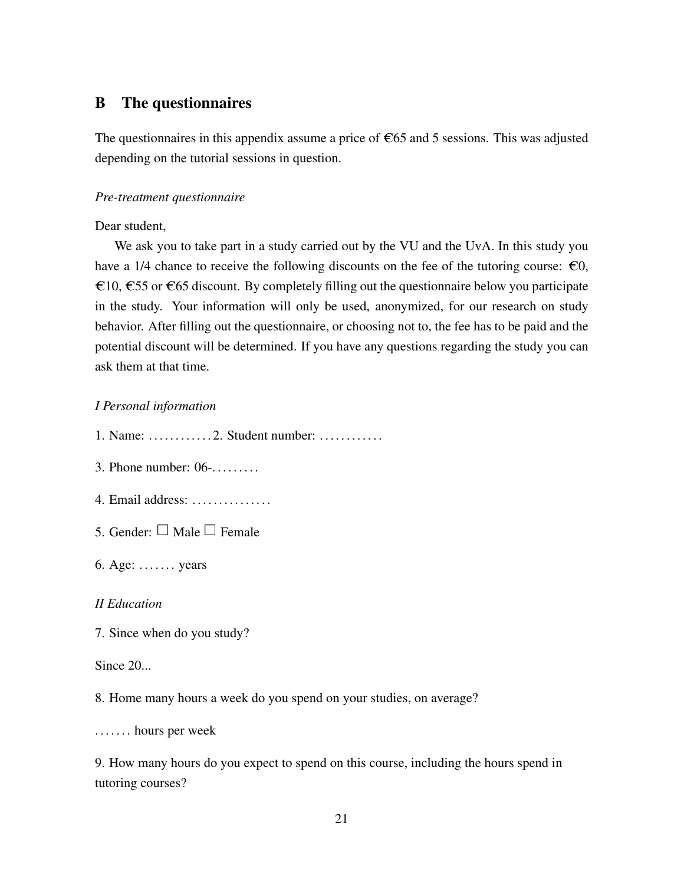#### B The questionnaires

The questionnaires in this appendix assume a price of  $\epsilon$ 65 and 5 sessions. This was adjusted depending on the tutorial sessions in question.

#### *Pre-treatment questionnaire*

Dear student,

We ask you to take part in a study carried out by the VU and the UvA. In this study you have a 1/4 chance to receive the following discounts on the fee of the tutoring course:  $\epsilon 0$ , €10, €55 or €65 discount. By completely filling out the questionnaire below you participate in the study. Your information will only be used, anonymized, for our research on study behavior. After filling out the questionnaire, or choosing not to, the fee has to be paid and the potential discount will be determined. If you have any questions regarding the study you can ask them at that time.

#### *I Personal information*

1. Name: . . . . . . . . . . . . 2. Student number: . . . . . . . . . . . .

- 3. Phone number: 06-........
- 4. Email address: . . . . . . . . . . . . . . .
- 5. Gender:  $\Box$  Male  $\Box$  Female
- 6. Age: . . . . . . . years

#### *II Education*

7. Since when do you study?

#### Since 20...

8. Home many hours a week do you spend on your studies, on average?

. . . . . . . hours per week

9. How many hours do you expect to spend on this course, including the hours spend in tutoring courses?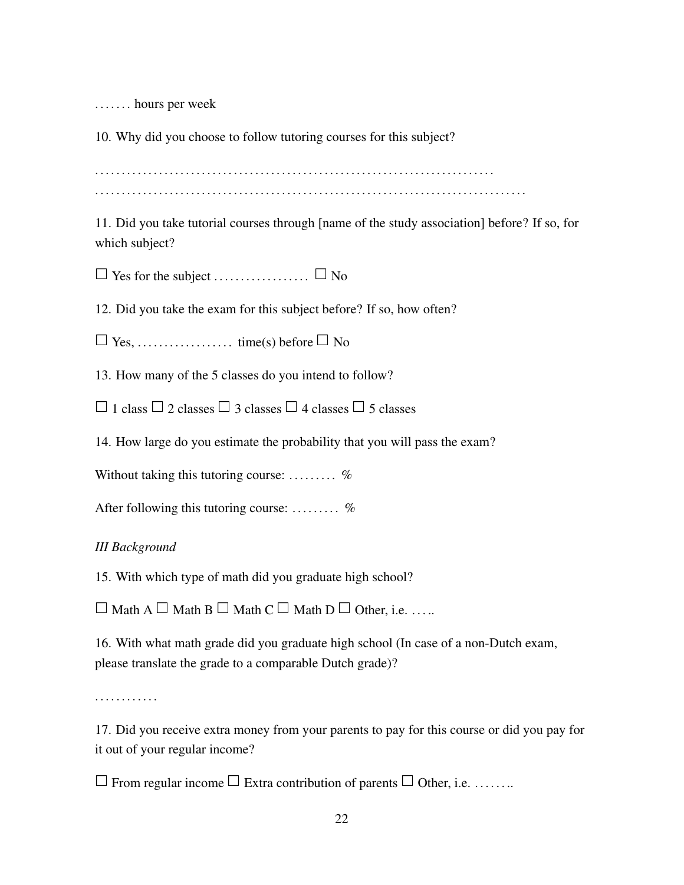. . . . . . . hours per week

10. Why did you choose to follow tutoring courses for this subject?

. . . . . . . . . . . . . . . . . . . . . . . . . . . . . . . . . . . . . . . . . . . . . . . . . . . . . . . . . . . . . . . . . . . . . . . . . . . . . . . . . . . . . . . . . . . . . . . . . . . . . . . . . . . . . . . . . . . . . . . . . . . . . . . . . . . . . . . . . . . . . . . . . . . . . . . . . . . .

11. Did you take tutorial courses through [name of the study association] before? If so, for which subject?

0 Yes for the subject . . . . . . . . . . . . . . . . . . 0 No

12. Did you take the exam for this subject before? If so, how often?

0 Yes, . . . . . . . . . . . . . . . . . . time(s) before 0 No

13. How many of the 5 classes do you intend to follow?

 $\Box$  1 class  $\Box$  2 classes  $\Box$  3 classes  $\Box$  4 classes  $\Box$  5 classes

14. How large do you estimate the probability that you will pass the exam?

Without taking this tutoring course: .........  $\%$ 

After following this tutoring course: .........  $\%$ 

#### *III Background*

15. With which type of math did you graduate high school?

 $\Box$  Math A  $\Box$  Math B  $\Box$  Math C  $\Box$  Math D  $\Box$  Other, i.e. .....

16. With what math grade did you graduate high school (In case of a non-Dutch exam, please translate the grade to a comparable Dutch grade)?

. . . . . . . . . . . .

17. Did you receive extra money from your parents to pay for this course or did you pay for it out of your regular income?

 $\Box$  From regular income  $\Box$  Extra contribution of parents  $\Box$  Other, i.e. . . . . . . . .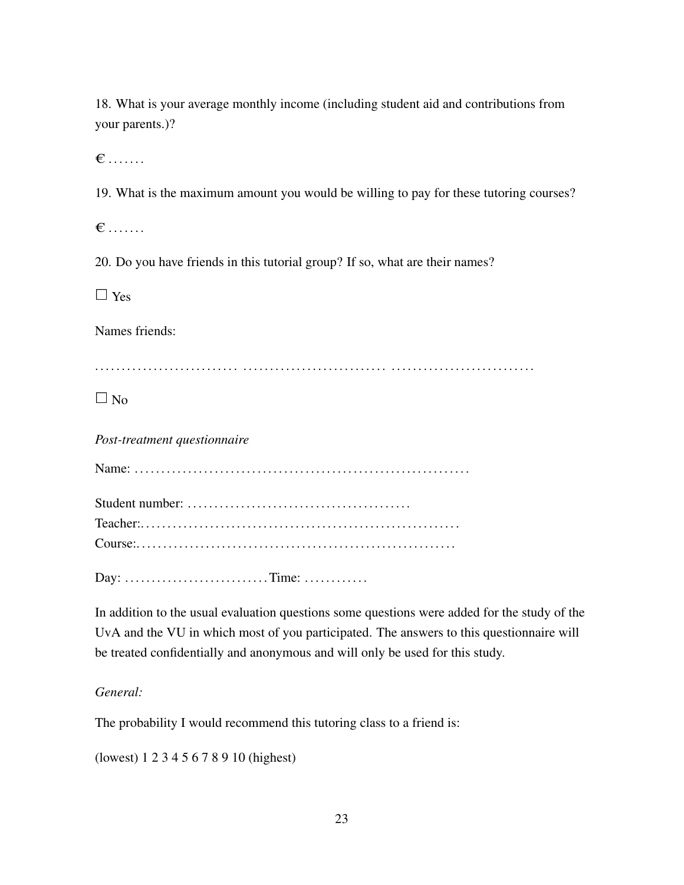18. What is your average monthly income (including student aid and contributions from your parents.)?

 $\epsilon \dots$ 

19. What is the maximum amount you would be willing to pay for these tutoring courses?

 $\epsilon \ldots$  .

20. Do you have friends in this tutorial group? If so, what are their names?

 $\Box$  Yes

Names friends:

. . . . . . . . . . . . . . . . . . . . . . . . . . . . . . . . . . . . . . . . . . . . . . . . . . . . . . . . . . . . . . . . . . . . . . . . . . . . . . . . .

 $\Box$  No

*Post-treatment questionnaire*

| Teacher |  |
|---------|--|
|         |  |

Day: . . . . . . . . . . . . . . . . . . . . . . . . . . . Time: . . . . . . . . . . . .

In addition to the usual evaluation questions some questions were added for the study of the UvA and the VU in which most of you participated. The answers to this questionnaire will be treated confidentially and anonymous and will only be used for this study.

#### *General:*

The probability I would recommend this tutoring class to a friend is:

(lowest) 1 2 3 4 5 6 7 8 9 10 (highest)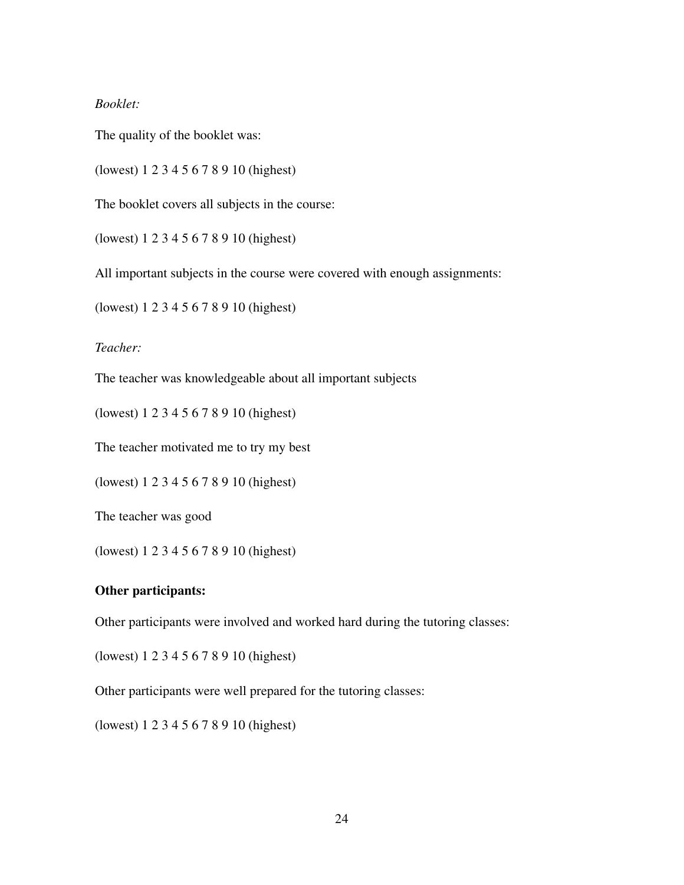#### *Booklet:*

The quality of the booklet was:

(lowest) 1 2 3 4 5 6 7 8 9 10 (highest)

The booklet covers all subjects in the course:

(lowest) 1 2 3 4 5 6 7 8 9 10 (highest)

All important subjects in the course were covered with enough assignments:

(lowest) 1 2 3 4 5 6 7 8 9 10 (highest)

*Teacher:*

The teacher was knowledgeable about all important subjects

(lowest) 1 2 3 4 5 6 7 8 9 10 (highest)

The teacher motivated me to try my best

(lowest) 1 2 3 4 5 6 7 8 9 10 (highest)

The teacher was good

(lowest) 1 2 3 4 5 6 7 8 9 10 (highest)

#### Other participants:

Other participants were involved and worked hard during the tutoring classes:

(lowest) 1 2 3 4 5 6 7 8 9 10 (highest)

Other participants were well prepared for the tutoring classes:

(lowest) 1 2 3 4 5 6 7 8 9 10 (highest)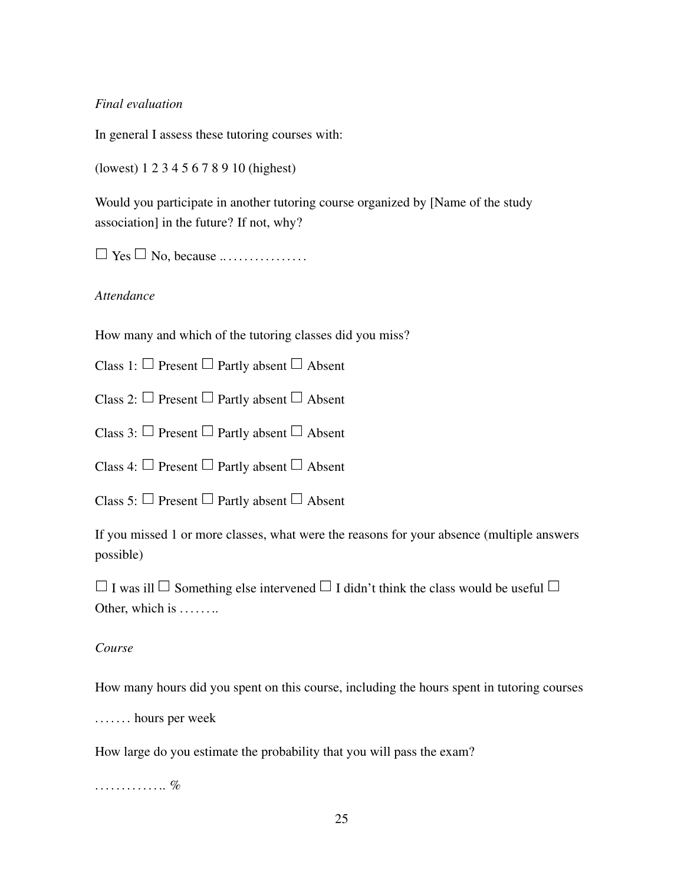#### *Final evaluation*

In general I assess these tutoring courses with:

(lowest) 1 2 3 4 5 6 7 8 9 10 (highest)

Would you participate in another tutoring course organized by [Name of the study association] in the future? If not, why?

 $\Box$  Yes  $\Box$  No, because .................

#### *Attendance*

How many and which of the tutoring classes did you miss?

Class 1:  $\Box$  Present  $\Box$  Partly absent  $\Box$  Absent

Class 2:  $\Box$  Present  $\Box$  Partly absent  $\Box$  Absent

Class 3:  $\Box$  Present  $\Box$  Partly absent  $\Box$  Absent

Class 4:  $\Box$  Present  $\Box$  Partly absent  $\Box$  Absent

Class 5:  $\Box$  Present  $\Box$  Partly absent  $\Box$  Absent

If you missed 1 or more classes, what were the reasons for your absence (multiple answers possible)

 $\Box$  I was ill  $\Box$  Something else intervened  $\Box$  I didn't think the class would be useful  $\Box$ Other, which is ........

#### *Course*

How many hours did you spent on this course, including the hours spent in tutoring courses

. . . . . . . hours per week

How large do you estimate the probability that you will pass the exam?

. . . . . . . . . . . . . . %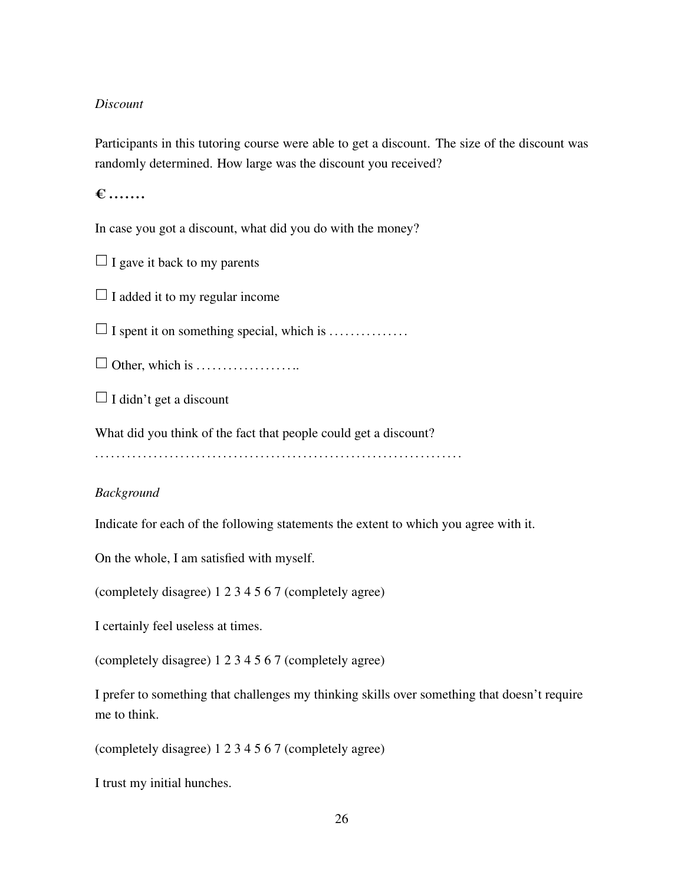#### *Discount*

Participants in this tutoring course were able to get a discount. The size of the discount was randomly determined. How large was the discount you received?

 $\epsilon$  ......

In case you got a discount, what did you do with the money?

 $\Box$  I gave it back to my parents

 $\Box$  I added it to my regular income

 $\Box$  I spent it on something special, which is . . . . . . . . . . . . . . . . .

0 Other, which is . . . . . . . . . . . . . . . . . . ..

 $\Box$  I didn't get a discount

What did you think of the fact that people could get a discount?

. . . . . . . . . . . . . . . . . . . . . . . . . . . . . . . . . . . . . . . . . . . . . . . . . . . . . . . . . . . . . . . . . . . . .

#### *Background*

Indicate for each of the following statements the extent to which you agree with it.

On the whole, I am satisfied with myself.

(completely disagree) 1 2 3 4 5 6 7 (completely agree)

I certainly feel useless at times.

(completely disagree) 1 2 3 4 5 6 7 (completely agree)

I prefer to something that challenges my thinking skills over something that doesn't require me to think.

(completely disagree) 1 2 3 4 5 6 7 (completely agree)

I trust my initial hunches.